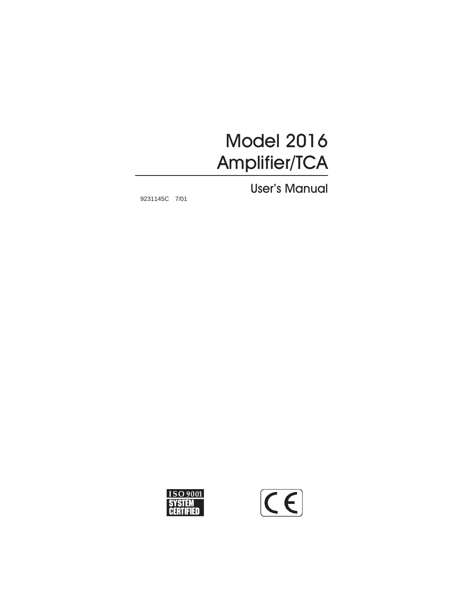# Model 2016 Amplifier/TCA

User's Manual

9231145C 7/01



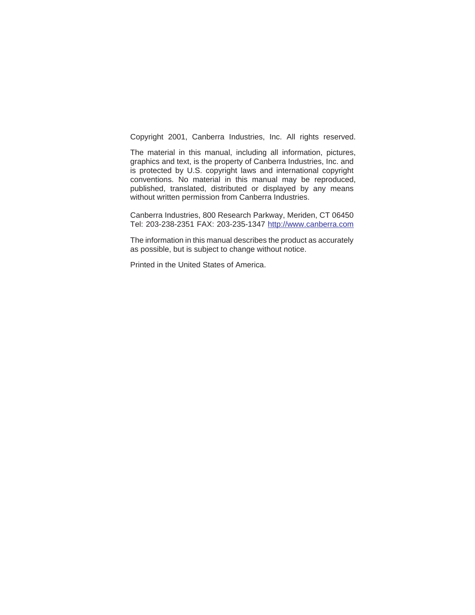Copyright 2001, Canberra Industries, Inc. All rights reserved.

The material in this manual, including all information, pictures, graphics and text, is the property of Canberra Industries, Inc. and is protected by U.S. copyright laws and international copyright conventions. No material in this manual may be reproduced, published, translated, distributed or displayed by any means without written permission from Canberra Industries.

Canberra Industries, 800 Research Parkway, Meriden, CT 06450 Tel: 203-238-2351 FAX: 203-235-1347 <http://www.canberra.com>

The information in this manual describes the product as accurately as possible, but is subject to change without notice.

Printed in the United States of America.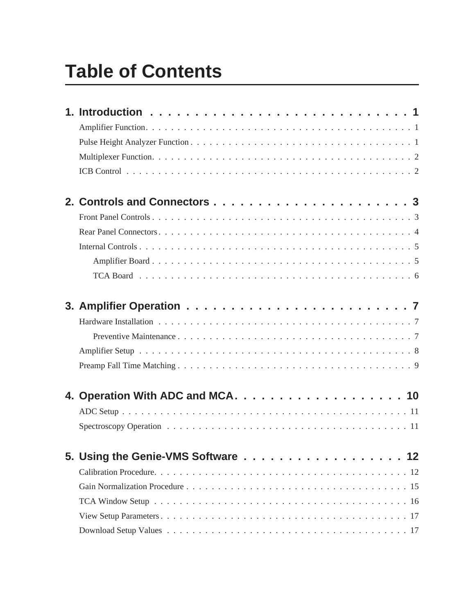# **Table of Contents**

| 5. Using the Genie-VMS Software 12 |
|------------------------------------|
|                                    |
|                                    |
|                                    |
|                                    |
|                                    |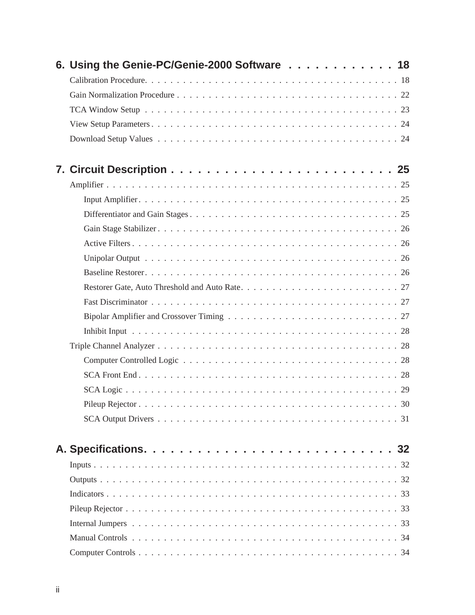| 6. Using the Genie-PC/Genie-2000 Software 18 |    |
|----------------------------------------------|----|
|                                              |    |
|                                              |    |
|                                              |    |
|                                              |    |
|                                              |    |
|                                              |    |
|                                              |    |
|                                              |    |
|                                              |    |
|                                              |    |
|                                              |    |
|                                              |    |
|                                              |    |
|                                              |    |
|                                              |    |
|                                              |    |
|                                              |    |
|                                              |    |
|                                              |    |
|                                              |    |
|                                              |    |
| Pileup Rejector.                             | 30 |
|                                              |    |
|                                              |    |
|                                              |    |
|                                              |    |
|                                              |    |
|                                              |    |
|                                              |    |
|                                              |    |
|                                              |    |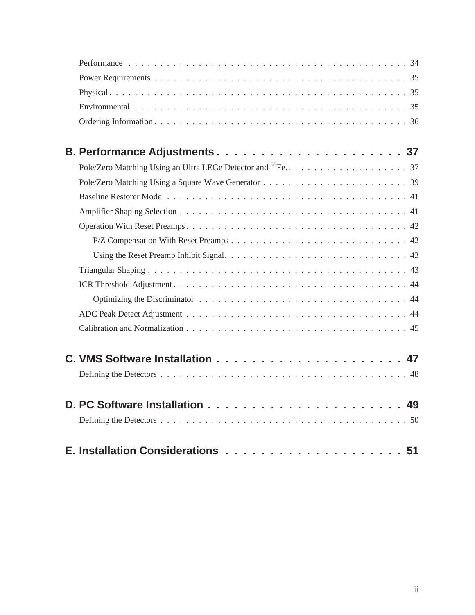| B. Performance Adjustments37 |
|------------------------------|
|                              |
|                              |
|                              |
|                              |
|                              |
|                              |
|                              |
|                              |
|                              |
|                              |
|                              |
|                              |
|                              |
|                              |
|                              |
|                              |
|                              |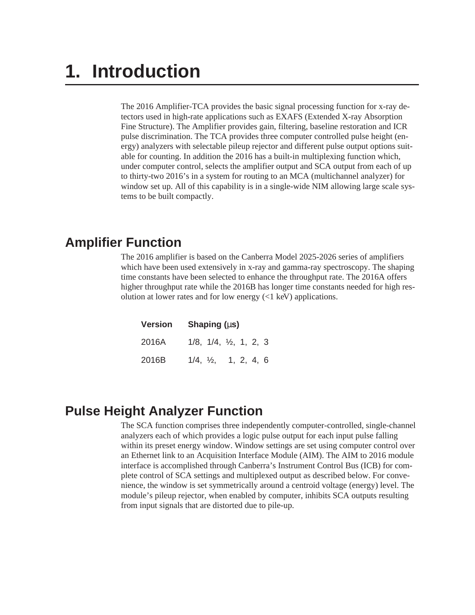# <span id="page-5-0"></span>**1. Introduction**

The 2016 Amplifier-TCA provides the basic signal processing function for x-ray detectors used in high-rate applications such as EXAFS (Extended X-ray Absorption Fine Structure). The Amplifier provides gain, filtering, baseline restoration and ICR pulse discrimination. The TCA provides three computer controlled pulse height (energy) analyzers with selectable pileup rejector and different pulse output options suitable for counting. In addition the 2016 has a built-in multiplexing function which, under computer control, selects the amplifier output and SCA output from each of up to thirty-two 2016's in a system for routing to an MCA (multichannel analyzer) for window set up. All of this capability is in a single-wide NIM allowing large scale systems to be built compactly.

## **Amplifier Function**

The 2016 amplifier is based on the Canberra Model 2025-2026 series of amplifiers which have been used extensively in x-ray and gamma-ray spectroscopy. The shaping time constants have been selected to enhance the throughput rate. The 2016A offers higher throughput rate while the 2016B has longer time constants needed for high resolution at lower rates and for low energy (<1 keV) applications.

| <b>Version</b> | Shaping $(\mu s)$                       |  |  |
|----------------|-----------------------------------------|--|--|
| 2016A          | $1/8$ , $1/4$ , $\frac{1}{2}$ , 1, 2, 3 |  |  |
| 2016B          | $1/4$ , $\frac{1}{2}$ , 1, 2, 4, 6      |  |  |

## **Pulse Height Analyzer Function**

The SCA function comprises three independently computer-controlled, single-channel analyzers each of which provides a logic pulse output for each input pulse falling within its preset energy window. Window settings are set using computer control over an Ethernet link to an Acquisition Interface Module (AIM). The AIM to 2016 module interface is accomplished through Canberra's Instrument Control Bus (ICB) for complete control of SCA settings and multiplexed output as described below. For convenience, the window is set symmetrically around a centroid voltage (energy) level. The module's pileup rejector, when enabled by computer, inhibits SCA outputs resulting from input signals that are distorted due to pile-up.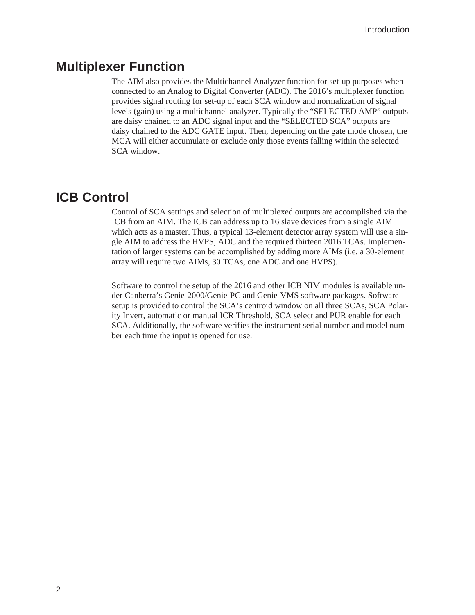#### <span id="page-6-0"></span>**Multiplexer Function**

The AIM also provides the Multichannel Analyzer function for set-up purposes when connected to an Analog to Digital Converter (ADC). The 2016's multiplexer function provides signal routing for set-up of each SCA window and normalization of signal levels (gain) using a multichannel analyzer. Typically the "SELECTED AMP" outputs are daisy chained to an ADC signal input and the "SELECTED SCA" outputs are daisy chained to the ADC GATE input. Then, depending on the gate mode chosen, the MCA will either accumulate or exclude only those events falling within the selected SCA window.

#### **ICB Control**

Control of SCA settings and selection of multiplexed outputs are accomplished via the ICB from an AIM. The ICB can address up to 16 slave devices from a single AIM which acts as a master. Thus, a typical 13-element detector array system will use a single AIM to address the HVPS, ADC and the required thirteen 2016 TCAs. Implementation of larger systems can be accomplished by adding more AIMs (i.e. a 30-element array will require two AIMs, 30 TCAs, one ADC and one HVPS).

Software to control the setup of the 2016 and other ICB NIM modules is available under Canberra's Genie-2000/Genie-PC and Genie-VMS software packages. Software setup is provided to control the SCA's centroid window on all three SCAs, SCA Polarity Invert, automatic or manual ICR Threshold, SCA select and PUR enable for each SCA. Additionally, the software verifies the instrument serial number and model number each time the input is opened for use.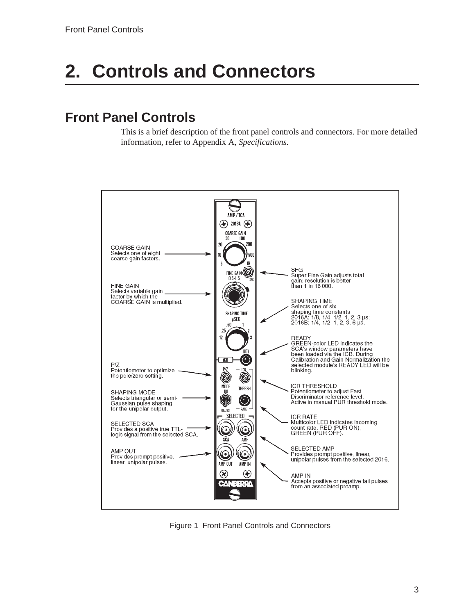# <span id="page-7-0"></span>**2. Controls and Connectors**

# **Front Panel Controls**

This is a brief description of the front panel controls and connectors. For more detailed information, refer to Appendix A, *Specifications.*



Figure 1 Front Panel Controls and Connectors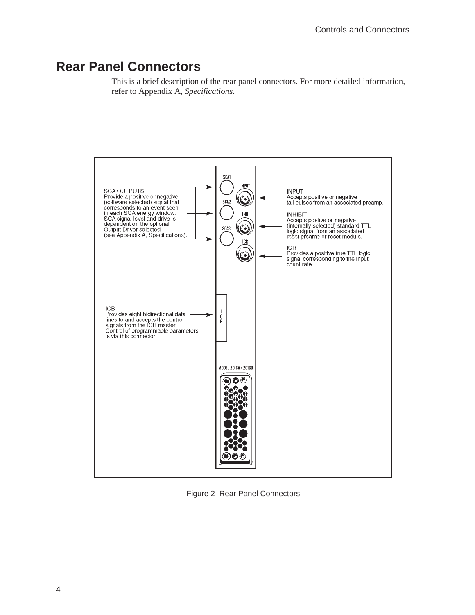## <span id="page-8-0"></span>**Rear Panel Connectors**

This is a brief description of the rear panel connectors. For more detailed information, refer to Appendix A, *Specifications*.



Figure 2 Rear Panel Connectors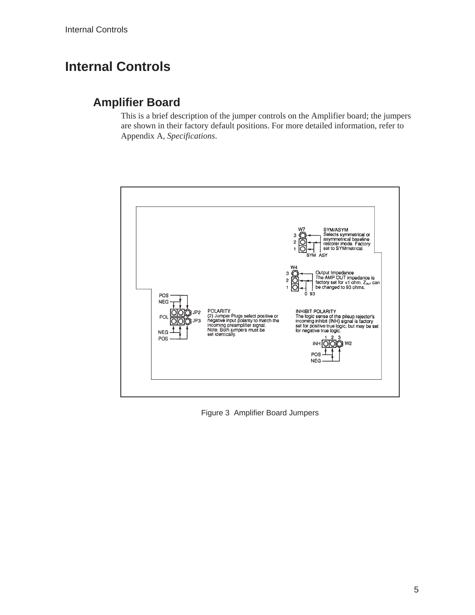# <span id="page-9-0"></span>**Internal Controls**

#### **Amplifier Board**

This is a brief description of the jumper controls on the Amplifier board; the jumpers are shown in their factory default positions. For more detailed information, refer to Appendix A, *Specifications*.



Figure 3 Amplifier Board Jumpers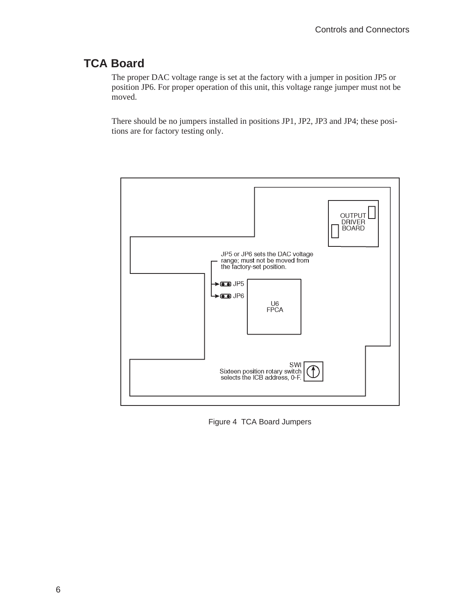### <span id="page-10-0"></span>**TCA Board**

The proper DAC voltage range is set at the factory with a jumper in position JP5 or position JP6. For proper operation of this unit, this voltage range jumper must not be moved.

There should be no jumpers installed in positions JP1, JP2, JP3 and JP4; these positions are for factory testing only.



Figure 4 TCA Board Jumpers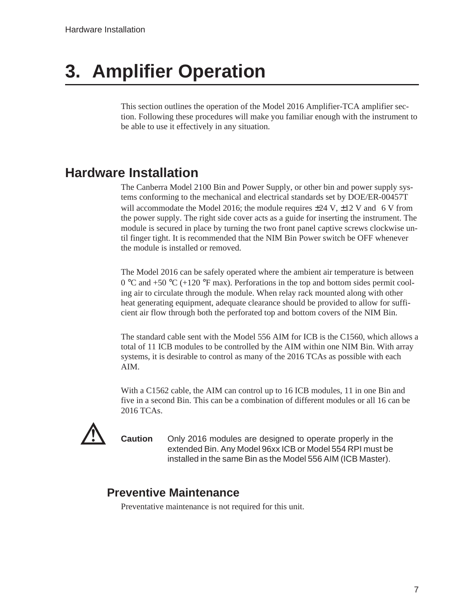# <span id="page-11-0"></span>**3. Amplifier Operation**

This section outlines the operation of the Model 2016 Amplifier-TCA amplifier section. Following these procedures will make you familiar enough with the instrument to be able to use it effectively in any situation.

## **Hardware Installation**

The Canberra Model 2100 Bin and Power Supply, or other bin and power supply systems conforming to the mechanical and electrical standards set by DOE/ER-00457T will accommodate the Model 2016; the module requires  $\pm 24$  V,  $\pm 12$  V and (6 V from the power supply. The right side cover acts as a guide for inserting the instrument. The module is secured in place by turning the two front panel captive screws clockwise until finger tight. It is recommended that the NIM Bin Power switch be OFF whenever the module is installed or removed.

The Model 2016 can be safely operated where the ambient air temperature is between  $0^{\circ}$ C and +50  $^{\circ}$ C (+120  $^{\circ}$ F max). Perforations in the top and bottom sides permit cooling air to circulate through the module. When relay rack mounted along with other heat generating equipment, adequate clearance should be provided to allow for sufficient air flow through both the perforated top and bottom covers of the NIM Bin.

The standard cable sent with the Model 556 AIM for ICB is the C1560, which allows a total of 11 ICB modules to be controlled by the AIM within one NIM Bin. With array systems, it is desirable to control as many of the 2016 TCAs as possible with each AIM.

With a C1562 cable, the AIM can control up to 16 ICB modules, 11 in one Bin and five in a second Bin. This can be a combination of different modules or all 16 can be 2016 TCAs.



**Caution** Only 2016 modules are designed to operate properly in the extended Bin. Any Model 96xx ICB or Model 554 RPI must be installed in the same Bin as the Model 556 AIM (ICB Master).

#### **Preventive Maintenance**

Preventative maintenance is not required for this unit.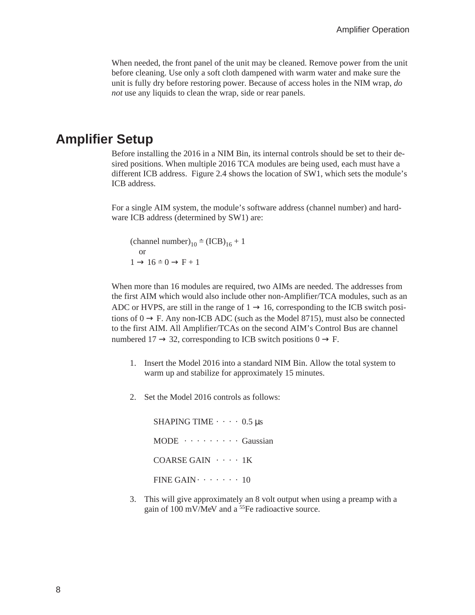<span id="page-12-0"></span>When needed, the front panel of the unit may be cleaned. Remove power from the unit before cleaning. Use only a soft cloth dampened with warm water and make sure the unit is fully dry before restoring power. Because of access holes in the NIM wrap, *do not* use any liquids to clean the wrap, side or rear panels.

#### **Amplifier Setup**

Before installing the 2016 in a NIM Bin, its internal controls should be set to their desired positions. When multiple 2016 TCA modules are being used, each must have a different ICB address. Figure 2.4 shows the location of SW1, which sets the module's ICB address.

For a single AIM system, the module's software address (channel number) and hardware ICB address (determined by SW1) are: single AIM system, the module's<br>ICB address (determined by SW1<br>(channel number)<sub>10</sub> = (ICB)<sub>16</sub> + 1

or single AIM system,<br>ICB address (determ<br>(channel number)<sub>10</sub><br>or<br> $1 \rightarrow 16 \div 0 \rightarrow F + 1$ 

When more than 16 modules are required, two AIMs are needed. The addresses from the first AIM which would also include other non-Amplifier/TCA modules, such as an ADC or HVPS, are still in the range of  $1 \rightarrow 16$ , corresponding to the ICB switch positions of  $0 \rightarrow F$ . Any non-ICB ADC (such as the Model 8715), must also be connected to the first AIM. All Amplifier/TCAs on the second AIM's Control Bus are channel numbered  $17 \rightarrow 32$ , corresponding to ICB switch positions  $0 \rightarrow F$ .

- 1. Insert the Model 2016 into a standard NIM Bin. Allow the total system to warm up and stabilize for approximately 15 minutes.
- 2. Set the Model 2016 controls as follows:

SHAPING TIME  $\cdots$  0.5 µs  $MODE \cdot \cdot \cdot \cdot \cdot \cdot \cdot \cdot \cdot \cdot Gaussian$ COARSE GAIN · · · · 1K FINE GAIN  $\cdots$   $\cdots$  10

3. This will give approximately an 8 volt output when using a preamp with a gain of 100 mV/MeV and a 55Fe radioactive source.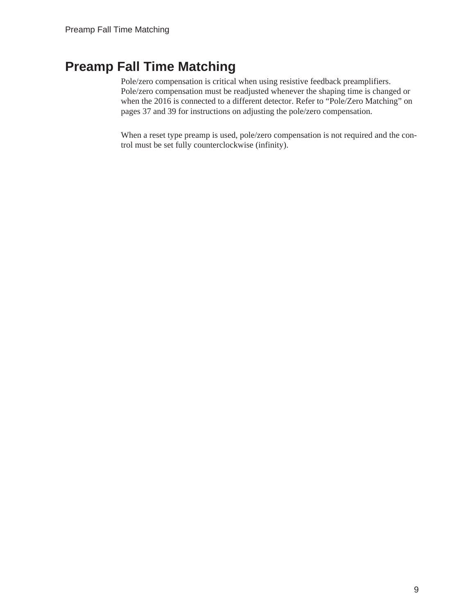# <span id="page-13-0"></span>**Preamp Fall Time Matching**

Pole/zero compensation is critical when using resistive feedback preamplifiers. Pole/zero compensation must be readjusted whenever the shaping time is changed or when the 2016 is connected to a different detector. Refer to "Pole/Zero Matching" on pages [37](#page-41-0) and [39](#page-43-0) for instructions on adjusting the pole/zero compensation.

When a reset type preamp is used, pole/zero compensation is not required and the control must be set fully counterclockwise (infinity).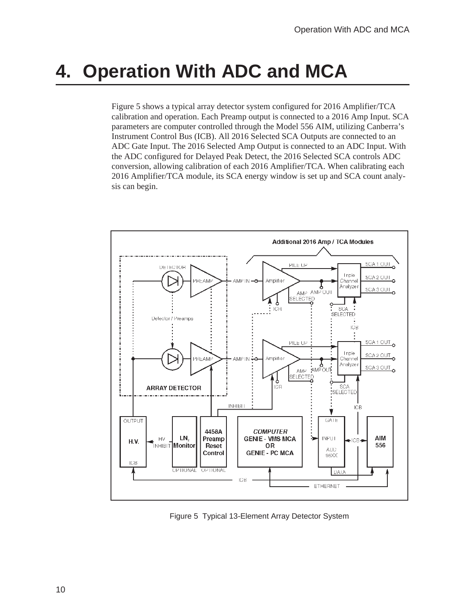# <span id="page-14-0"></span>**4. Operation With ADC and MCA**

Figure [5](#page-14-0) shows a typical array detector system configured for 2016 Amplifier/TCA calibration and operation. Each Preamp output is connected to a 2016 Amp Input. SCA parameters are computer controlled through the Model 556 AIM, utilizing Canberra's Instrument Control Bus (ICB). All 2016 Selected SCA Outputs are connected to an ADC Gate Input. The 2016 Selected Amp Output is connected to an ADC Input. With the ADC configured for Delayed Peak Detect, the 2016 Selected SCA controls ADC conversion, allowing calibration of each 2016 Amplifier/TCA. When calibrating each 2016 Amplifier/TCA module, its SCA energy window is set up and SCA count analysis can begin.



Figure 5 Typical 13-Element Array Detector System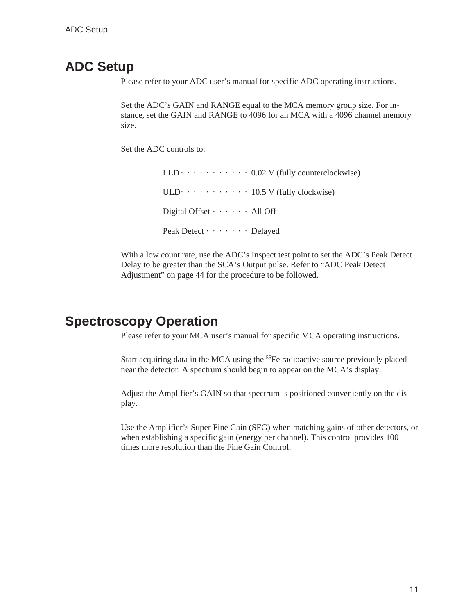### <span id="page-15-0"></span>**ADC Setup**

Please refer to your ADC user's manual for specific ADC operating instructions.

Set the ADC's GAIN and RANGE equal to the MCA memory group size. For instance, set the GAIN and RANGE to 4096 for an MCA with a 4096 channel memory size.

Set the ADC controls to:

 $LLD \cdot \cdot \cdot \cdot \cdot \cdot \cdot \cdot \cdot \cdot 0.02$  V (fully counterclockwise) ULD $\cdot \cdot \cdot \cdot \cdot \cdot \cdot \cdot \cdot \cdot 10.5$  V (fully clockwise) Digital Offset  $\cdots$   $\cdots$  All Off Peak Detect  $\cdots$   $\cdots$  Delayed

With a low count rate, use the ADC's Inspect test point to set the ADC's Peak Detect Delay to be greater than the SCA's Output pulse. Refer to "ADC Peak Detect Adjustment" on page [44](#page-48-0) for the procedure to be followed.

### **Spectroscopy Operation**

Please refer to your MCA user's manual for specific MCA operating instructions.

Start acquiring data in the MCA using the 55Fe radioactive source previously placed near the detector. A spectrum should begin to appear on the MCA's display.

Adjust the Amplifier's GAIN so that spectrum is positioned conveniently on the display.

Use the Amplifier's Super Fine Gain (SFG) when matching gains of other detectors, or when establishing a specific gain (energy per channel). This control provides 100 times more resolution than the Fine Gain Control.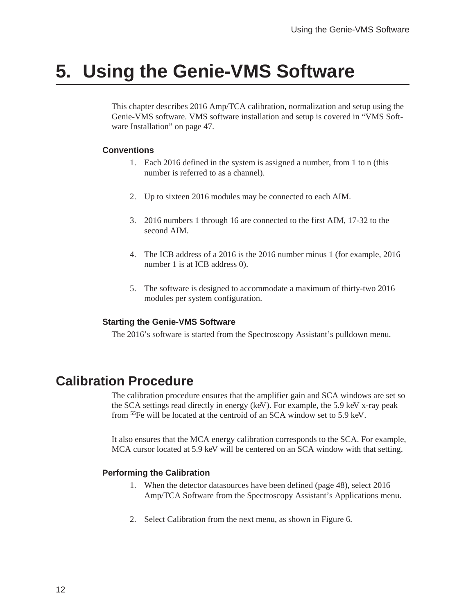# <span id="page-16-0"></span>**5. Using the Genie-VMS Software**

This chapter describes 2016 Amp/TCA calibration, normalization and setup using the Genie-VMS software. VMS software installation and setup is covered in "VMS Software Installation" on page [47.](#page-51-0)

#### **Conventions**

- 1. Each 2016 defined in the system is assigned a number, from 1 to n (this number is referred to as a channel).
- 2. Up to sixteen 2016 modules may be connected to each AIM.
- 3. 2016 numbers 1 through 16 are connected to the first AIM, 17-32 to the second AIM.
- 4. The ICB address of a 2016 is the 2016 number minus 1 (for example, 2016 number 1 is at ICB address 0).
- 5. The software is designed to accommodate a maximum of thirty-two 2016 modules per system configuration.

#### **Starting the Genie-VMS Software**

The 2016's software is started from the Spectroscopy Assistant's pulldown menu.

## **Calibration Procedure**

The calibration procedure ensures that the amplifier gain and SCA windows are set so the SCA settings read directly in energy (keV). For example, the 5.9 keV x-ray peak from 55Fe will be located at the centroid of an SCA window set to 5.9 keV.

It also ensures that the MCA energy calibration corresponds to the SCA. For example, MCA cursor located at 5.9 keV will be centered on an SCA window with that setting.

#### **Performing the Calibration**

- 1. When the detector datasources have been defined (page [48](#page-52-0)), select 2016 Amp/TCA Software from the Spectroscopy Assistant's Applications menu.
- 2. Select Calibration from the next menu, as shown in Figure [6.](#page-17-0)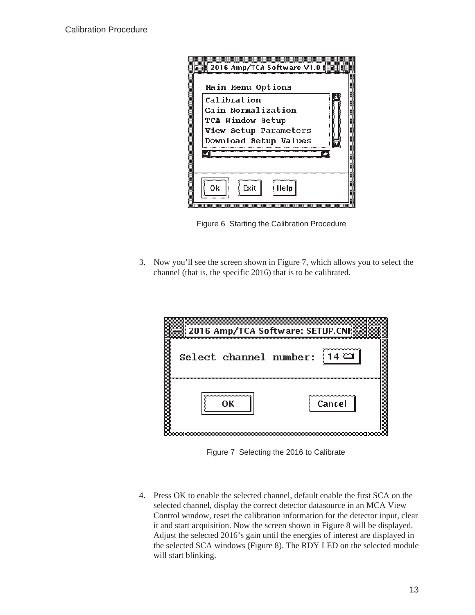<span id="page-17-0"></span>

| Main Menu Options                                                                                                     |
|-----------------------------------------------------------------------------------------------------------------------|
| Calibration<br>Gain Normalization<br><b>TCA Window Setup</b><br>View Setup Parameters<br><b>Download Setup Values</b> |
| mmmmm<br>Exit<br>Οk<br>Help                                                                                           |

Figure 6 Starting the Calibration Procedure

3. Now you'll see the screen shown in Figure [7,](#page-17-0) which allows you to select the channel (that is, the specific 2016) that is to be calibrated.

|  | Select channel number:               | ີ   14 ື⊐                             |
|--|--------------------------------------|---------------------------------------|
|  | ,,,,,,,,,,,,,,,,,,,,,,,,,,,,,,<br>oк | ,,,,,,,,,,,,,,,,,,,,,,,,,,,<br>Cancel |

Figure 7 Selecting the 2016 to Calibrate

4. Press OK to enable the selected channel, default enable the first SCA on the selected channel, display the correct detector datasource in an MCA View Control window, reset the calibration information for the detector input, clear it and start acquisition. Now the screen shown in Figure [8](#page-18-0) will be displayed. Adjust the selected 2016's gain until the energies of interest are displayed in the selected SCA windows (Figure [8\)](#page-18-0). The RDY LED on the selected module will start blinking.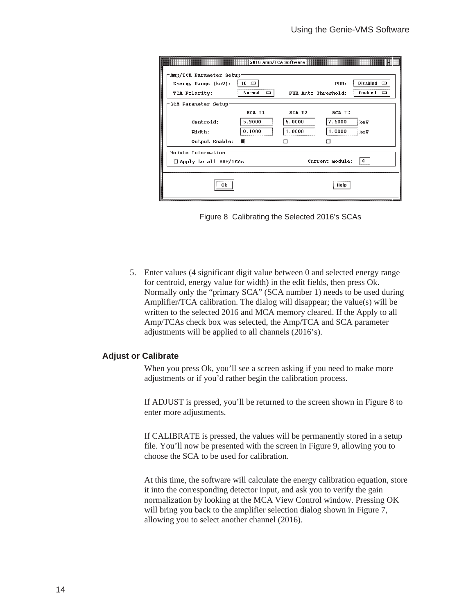<span id="page-18-0"></span>

|                                                                     | 2016 Amp/TCA Software               |                     |                 |                           |
|---------------------------------------------------------------------|-------------------------------------|---------------------|-----------------|---------------------------|
| Amp/TCA Parameter Setup-<br>Energy Range $(key)$ :<br>TCA Polarity: | $10 =$<br>Normal<br><b>Electron</b> | PUR Auto Threshold: | $P$ UR:         | Disabled<br>Enabled<br>ਲ਼ |
| SCA Parameter Setup                                                 |                                     |                     |                 |                           |
|                                                                     | $SCA + 1$                           | $SCA$ $\neq$ 2      | $SCA$ $\pm 3$   |                           |
| Centroid:                                                           | 5.9000                              | 5.0000              | 7.5000          | keV                       |
| Width:                                                              | 0.1000                              | 1.0000              | 1.0000          | keV                       |
| Output Enable:                                                      | н                                   | εт                  | ξT              |                           |
| Module Information <sup>-</sup><br>□ Apply to all AMP/TCAs          |                                     |                     | Current module: | 4                         |
| 0k                                                                  |                                     |                     | Help            |                           |



5. Enter values (4 significant digit value between 0 and selected energy range for centroid, energy value for width) in the edit fields, then press Ok. Normally only the "primary SCA" (SCA number 1) needs to be used during Amplifier/TCA calibration. The dialog will disappear; the value(s) will be written to the selected 2016 and MCA memory cleared. If the Apply to all Amp/TCAs check box was selected, the Amp/TCA and SCA parameter adjustments will be applied to all channels (2016's).

#### **Adjust or Calibrate**

When you press Ok, you'll see a screen asking if you need to make more adjustments or if you'd rather begin the calibration process.

If ADJUST is pressed, you'll be returned to the screen shown in Figure [8](#page-18-0) to enter more adjustments.

If CALIBRATE is pressed, the values will be permanently stored in a setup file. You'll now be presented with the screen in Figure [9](#page-19-0), allowing you to choose the SCA to be used for calibration.

At this time, the software will calculate the energy calibration equation, store it into the corresponding detector input, and ask you to verify the gain normalization by looking at the MCA View Control window. Pressing OK will bring you back to the amplifier selection dialog shown in Figure [7](#page-17-0), allowing you to select another channel (2016).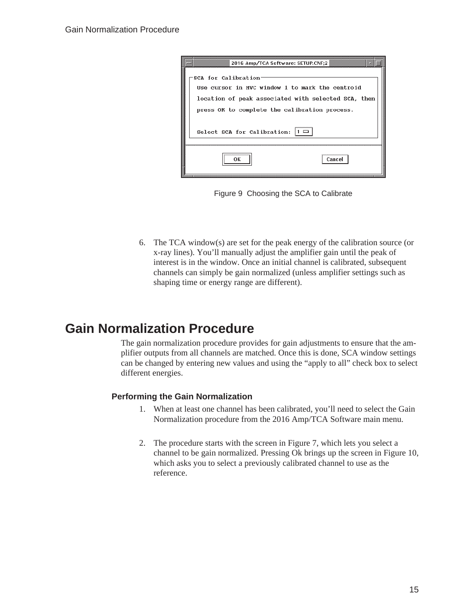<span id="page-19-0"></span>

| 2016 Amp/TCA Software: SETUP.CNF;2                                                                                                                                                                                         |  |
|----------------------------------------------------------------------------------------------------------------------------------------------------------------------------------------------------------------------------|--|
| SCA for Calibration <sup>.</sup><br>Use cursor in MVC window 1 to mark the centroid<br>location of peak associated with selected SCA, then<br>press OK to complete the calibration process.<br>Select SCA for Calibration: |  |
| ,,,,,,,,,,,,,,,,,,,,,,,,,,,,,,,<br>ок<br>Cancel                                                                                                                                                                            |  |

Figure 9 Choosing the SCA to Calibrate

6. The TCA window(s) are set for the peak energy of the calibration source (or x-ray lines). You'll manually adjust the amplifier gain until the peak of interest is in the window. Once an initial channel is calibrated, subsequent channels can simply be gain normalized (unless amplifier settings such as shaping time or energy range are different).

# **Gain Normalization Procedure**

The gain normalization procedure provides for gain adjustments to ensure that the amplifier outputs from all channels are matched. Once this is done, SCA window settings can be changed by entering new values and using the "apply to all" check box to select different energies.

#### **Performing the Gain Normalization**

- 1. When at least one channel has been calibrated, you'll need to select the Gain Normalization procedure from the 2016 Amp/TCA Software main menu.
- 2. The procedure starts with the screen in Figure [7](#page-17-0), which lets you select a channel to be gain normalized. Pressing Ok brings up the screen in Figure [10](#page-20-0), which asks you to select a previously calibrated channel to use as the reference.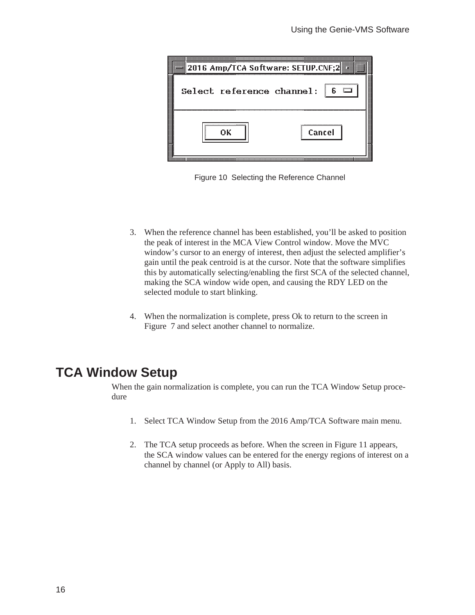<span id="page-20-0"></span>

| 2016 Amp/TCA Software: SETUP.CNF;2▓ |                                     |
|-------------------------------------|-------------------------------------|
| Select reference channel:           |                                     |
| ,,,,,,,,,,,,,,,,,,,,,,,,,,,,,<br>nκ | ,,,,,,,,,,,,,,,,,,,,,,,,,<br>Cancel |

Figure 10 Selecting the Reference Channel

- 3. When the reference channel has been established, you'll be asked to position the peak of interest in the MCA View Control window. Move the MVC window's cursor to an energy of interest, then adjust the selected amplifier's gain until the peak centroid is at the cursor. Note that the software simplifies this by automatically selecting/enabling the first SCA of the selected channel, making the SCA window wide open, and causing the RDY LED on the selected module to start blinking.
- 4. When the normalization is complete, press Ok to return to the screen in Figure [7](#page-17-0) and select another channel to normalize.

## **TCA Window Setup**

When the gain normalization is complete, you can run the TCA Window Setup procedure

- 1. Select TCA Window Setup from the 2016 Amp/TCA Software main menu.
- 2. The TCA setup proceeds as before. When the screen in Figure [11](#page-21-0) appears, the SCA window values can be entered for the energy regions of interest on a channel by channel (or Apply to All) basis.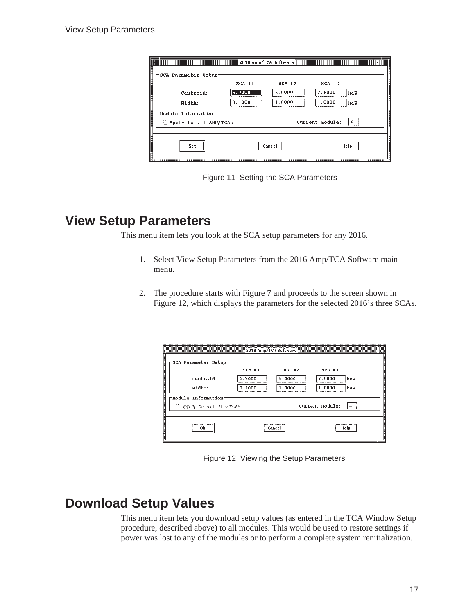<span id="page-21-0"></span>

|           | 2016 Amp/TCA Software        |            | 82                            |
|-----------|------------------------------|------------|-------------------------------|
|           |                              |            |                               |
| $SCA + 1$ | $SCA$ $#2$                   | $SCA$ $#3$ |                               |
| 5.9000    | 5.0000                       | 7.5000     |                               |
| 0.1000    | 1.0000                       | 1.0000     |                               |
|           |                              |            |                               |
|           |                              |            |                               |
|           |                              |            |                               |
|           |                              | Help       |                               |
|           | $\Box$ Apply to all AMP/TCAs | Cancel     | keV<br>keV<br>Current module: |

Figure 11 Setting the SCA Parameters

## **View Setup Parameters**

This menu item lets you look at the SCA setup parameters for any 2016.

- 1. Select View Setup Parameters from the 2016 Amp/TCA Software main menu.
- 2. The procedure starts with Figure [7](#page-17-0) and proceeds to the screen shown in Figure [12](#page-21-0), which displays the parameters for the selected 2016's three SCAs.

| <u> Andrew Maria and Andrew Maria and Andrew Maria and Andrew Maria and Andrew Maria and Andrew Maria and Andrew Ma</u> |           |            | 2016 Amp/TCA Softw <u>are and the community of the community of the community of the community of the community of the community of the community of the community of the community of the community of the community of the comm</u> |  |
|-------------------------------------------------------------------------------------------------------------------------|-----------|------------|---------------------------------------------------------------------------------------------------------------------------------------------------------------------------------------------------------------------------------------|--|
| SCA Parameter Setup                                                                                                     |           |            |                                                                                                                                                                                                                                       |  |
|                                                                                                                         | $SCA + 1$ | $SCA$ $+2$ | $SCA$ $#3$                                                                                                                                                                                                                            |  |
| Centroid:                                                                                                               | 5.9000    | 5.0000     | 7.5000<br>keV                                                                                                                                                                                                                         |  |
| Width:                                                                                                                  | 0.1000    | 1.0000     | 1.0000<br>keV                                                                                                                                                                                                                         |  |
| Module Information <sup>.</sup>                                                                                         |           |            |                                                                                                                                                                                                                                       |  |
| □ Apply to all AMP/TCAs                                                                                                 |           |            | Current module:                                                                                                                                                                                                                       |  |
|                                                                                                                         |           |            |                                                                                                                                                                                                                                       |  |
| 0k                                                                                                                      |           | Cancel     | Help                                                                                                                                                                                                                                  |  |
|                                                                                                                         |           |            |                                                                                                                                                                                                                                       |  |
|                                                                                                                         |           |            |                                                                                                                                                                                                                                       |  |

Figure 12 Viewing the Setup Parameters

# **Download Setup Values**

This menu item lets you download setup values (as entered in the TCA Window Setup procedure, described above) to all modules. This would be used to restore settings if power was lost to any of the modules or to perform a complete system renitialization.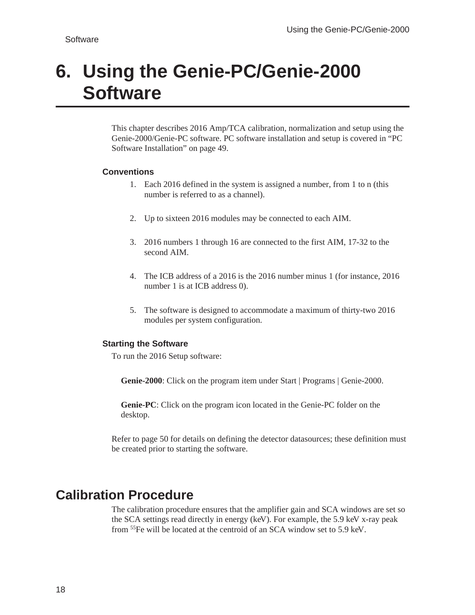# <span id="page-22-0"></span>**6. Using the Genie-PC/Genie-2000 Software**

This chapter describes 2016 Amp/TCA calibration, normalization and setup using the Genie-2000/Genie-PC software. PC software installation and setup is covered in "PC Software Installation" on page [49.](#page-53-0)

#### **Conventions**

- 1. Each 2016 defined in the system is assigned a number, from 1 to n (this number is referred to as a channel).
- 2. Up to sixteen 2016 modules may be connected to each AIM.
- 3. 2016 numbers 1 through 16 are connected to the first AIM, 17-32 to the second AIM.
- 4. The ICB address of a 2016 is the 2016 number minus 1 (for instance, 2016 number 1 is at ICB address 0).
- 5. The software is designed to accommodate a maximum of thirty-two 2016 modules per system configuration.

#### **Starting the Software**

To run the 2016 Setup software:

**Genie-2000**: Click on the program item under Start | Programs | Genie-2000.

**Genie-PC**: Click on the program icon located in the Genie-PC folder on the desktop.

Refer to page [50](#page-54-0) for details on defining the detector datasources; these definition must be created prior to starting the software.

## **Calibration Procedure**

The calibration procedure ensures that the amplifier gain and SCA windows are set so the SCA settings read directly in energy (keV). For example, the 5.9 keV x-ray peak from 55Fe will be located at the centroid of an SCA window set to 5.9 keV.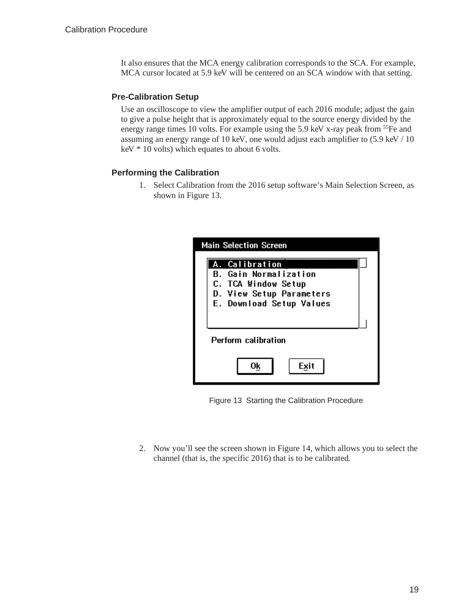<span id="page-23-0"></span>It also ensures that the MCA energy calibration corresponds to the SCA. For example, MCA cursor located at 5.9 keV will be centered on an SCA window with that setting.

#### **Pre-Calibration Setup**

Use an oscilloscope to view the amplifier output of each 2016 module; adjust the gain to give a pulse height that is approximately equal to the source energy divided by the energy range times 10 volts. For example using the 5.9 keV x-ray peak from <sup>55</sup>Fe and assuming an energy range of 10 keV, one would adjust each amplifier to (5.9 keV / 10 keV \* 10 volts) which equates to about 6 volts.

#### **Performing the Calibration**

1. Select Calibration from the 2016 setup software's Main Selection Screen, as shown in Figure [13](#page-23-0).

| <b>Main Selection Screen</b>                                                                                                  |
|-------------------------------------------------------------------------------------------------------------------------------|
| A. Calibration<br><b>B.</b> Gain Normalization<br>C. TCA Window Setup<br>D. View Setup Parameters<br>E. Download Setup Values |
| Perform calibration                                                                                                           |
| Exit<br>Οk                                                                                                                    |

Figure 13 Starting the Calibration Procedure

2. Now you'll see the screen shown in Figure [14](#page-24-0), which allows you to select the channel (that is, the specific 2016) that is to be calibrated.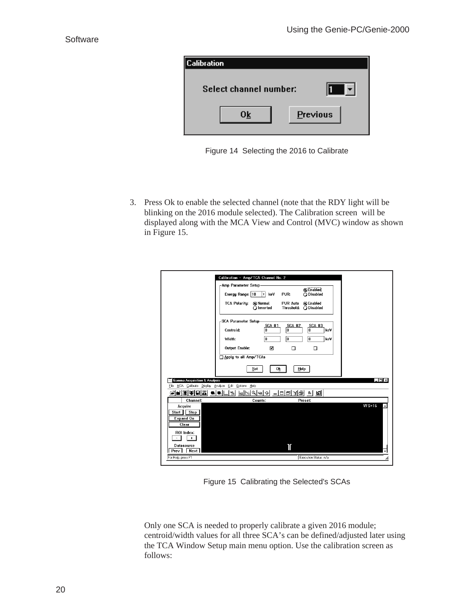<span id="page-24-0"></span>

| <b>Calibration</b>     |          |
|------------------------|----------|
| Select channel number: |          |
| Ok                     | Previous |

Figure 14 Selecting the 2016 to Calibrate

3. Press Ok to enable the selected channel (note that the RDY light will be blinking on the 2016 module selected). The Calibration screen will be displayed along with the MCA View and Control (MVC) window as shown in Figure [15.](#page-24-0)

|                                                                                    | Calibration - Amp/TCA Channel No. 2                                                                              |
|------------------------------------------------------------------------------------|------------------------------------------------------------------------------------------------------------------|
|                                                                                    | -Amp Parameter Setup-<br><b>O</b> Enabled<br>Energy Range: 10<br>l٤<br>keV<br>PUR:<br>ODisabled                  |
|                                                                                    | <b>TCA Polarity:</b><br>@ Normal<br><b>PUR Auto</b><br><b>O</b> Enabled<br>O Inverted<br>ODisabled<br>Threshold: |
|                                                                                    | -SCA Parameter Setup-<br><b>SCA #1</b><br><b>SCA #2</b><br><b>SCA #3</b><br>0<br>keV<br>Centroid:<br>۱o<br>0     |
|                                                                                    | n<br>n<br>⋒<br>Width:<br>keV<br>Output Enable:<br>⊠<br>□<br>□                                                    |
|                                                                                    | Apply to all Amp/TCAs                                                                                            |
|                                                                                    | Set<br>0 <sub>k</sub><br>Help                                                                                    |
| <b>Gamma Acquisition &amp; Analysis</b><br>File MCA Calibrate Display Analyze Edit | $\Box$ D $\times$<br>Options Help                                                                                |
| NTERIUM (<br>n I o I                                                               | [비밀어리쉬 - 미디티커플 리 페<br>-91                                                                                        |
| Channel:                                                                           | Preset:<br>Counts:                                                                                               |
| Acquire<br><b>Stop</b><br>Start<br><b>Expand On</b><br>Clear                       | $VFS=16$                                                                                                         |
| ROI Index:<br>Ŧ.<br><b>Datasource</b>                                              |                                                                                                                  |
| Prev   Next                                                                        | Τ                                                                                                                |
| For Help, press F1                                                                 | Execution Status: n/a<br>h,                                                                                      |
|                                                                                    |                                                                                                                  |

Figure 15 Calibrating the Selected's SCAs

Only one SCA is needed to properly calibrate a given 2016 module; centroid/width values for all three SCA's can be defined/adjusted later using the TCA Window Setup main menu option. Use the calibration screen as follows: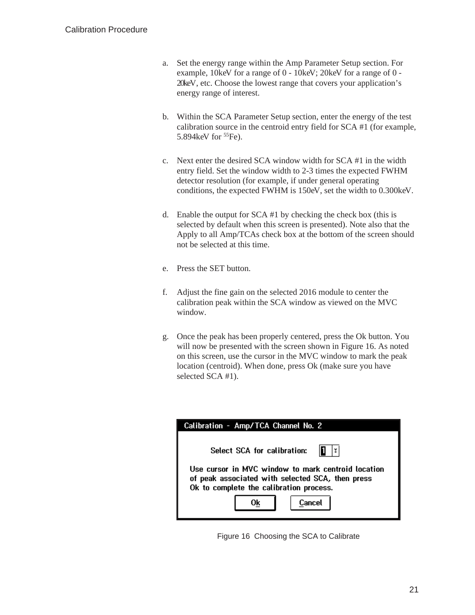- <span id="page-25-0"></span>a. Set the energy range within the Amp Parameter Setup section. For example, 10keV for a range of 0 - 10keV; 20keV for a range of 0 - 20keV, etc. Choose the lowest range that covers your application's energy range of interest.
- b. Within the SCA Parameter Setup section, enter the energy of the test calibration source in the centroid entry field for SCA #1 (for example, 5.894keV for <sup>55</sup>Fe).
- c. Next enter the desired SCA window width for SCA #1 in the width entry field. Set the window width to 2-3 times the expected FWHM detector resolution (for example, if under general operating conditions, the expected FWHM is 150eV, set the width to 0.300keV.
- d. Enable the output for SCA #1 by checking the check box (this is selected by default when this screen is presented). Note also that the Apply to all Amp/TCAs check box at the bottom of the screen should not be selected at this time.
- e. Press the SET button.
- f. Adjust the fine gain on the selected 2016 module to center the calibration peak within the SCA window as viewed on the MVC window.
- g. Once the peak has been properly centered, press the Ok button. You will now be presented with the screen shown in Figure [16](#page-25-0). As noted on this screen, use the cursor in the MVC window to mark the peak location (centroid). When done, press Ok (make sure you have selected SCA #1).



Figure 16 Choosing the SCA to Calibrate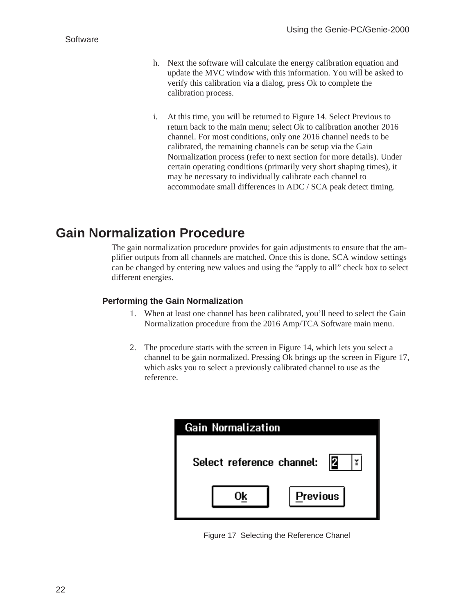- <span id="page-26-0"></span>h. Next the software will calculate the energy calibration equation and update the MVC window with this information. You will be asked to verify this calibration via a dialog, press Ok to complete the calibration process.
- i. At this time, you will be returned to Figure [14.](#page-24-0) Select Previous to return back to the main menu; select Ok to calibration another 2016 channel. For most conditions, only one 2016 channel needs to be calibrated, the remaining channels can be setup via the Gain Normalization process (refer to next section for more details). Under certain operating conditions (primarily very short shaping times), it may be necessary to individually calibrate each channel to accommodate small differences in ADC / SCA peak detect timing.

## **Gain Normalization Procedure**

The gain normalization procedure provides for gain adjustments to ensure that the amplifier outputs from all channels are matched. Once this is done, SCA window settings can be changed by entering new values and using the "apply to all" check box to select different energies.

#### **Performing the Gain Normalization**

- 1. When at least one channel has been calibrated, you'll need to select the Gain Normalization procedure from the 2016 Amp/TCA Software main menu.
- 2. The procedure starts with the screen in Figure [14,](#page-24-0) which lets you select a channel to be gain normalized. Pressing Ok brings up the screen in Figure [17](#page-26-0), which asks you to select a previously calibrated channel to use as the reference.

| Gain Normalization              |          |  |
|---------------------------------|----------|--|
| 12<br>Select reference channel: |          |  |
|                                 | Previous |  |

Figure 17 Selecting the Reference Chanel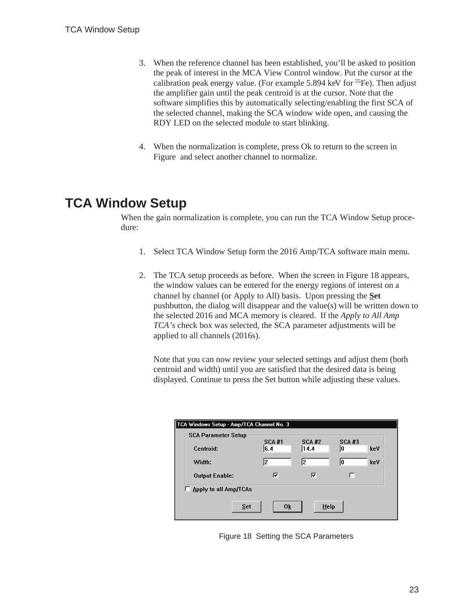- <span id="page-27-0"></span>3. When the reference channel has been established, you'll be asked to position the peak of interest in the MCA View Control window. Put the cursor at the calibration peak energy value. (For example 5.894 keV for  ${}^{55}Fe$ ). Then adjust the amplifier gain until the peak centroid is at the cursor. Note that the software simplifies this by automatically selecting/enabling the first SCA of the selected channel, making the SCA window wide open, and causing the RDY LED on the selected module to start blinking.
- 4. When the normalization is complete, press Ok to return to the screen in Figure and select another channel to normalize.

## **TCA Window Setup**

When the gain normalization is complete, you can run the TCA Window Setup procedure:

- 1. Select TCA Window Setup form the 2016 Amp/TCA software main menu.
- 2. The TCA setup proceeds as before. When the screen in Figure [18](#page-27-0) appears, the window values can be entered for the energy regions of interest on a channel by channel (or Apply to All) basis. Upon pressing the **Set** pushbutton, the dialog will disappear and the value(s) will be written down to the selected 2016 and MCA memory is cleared. If the *Apply to All Amp TCA's* check box was selected, the SCA parameter adjustments will be applied to all channels (2016s).

Note that you can now review your selected settings and adjust them (both centroid and width) until you are satisfied that the desired data is being displayed. Continue to press the Set button while adjusting these values.

| TCA Windows Setup - Amp/TCA Channel No. 3 |                       |                      |                       |                     |     |
|-------------------------------------------|-----------------------|----------------------|-----------------------|---------------------|-----|
| <b>SCA Parameter Setup</b>                |                       |                      |                       |                     |     |
|                                           | Centroid:             | <b>SCA #1</b><br>6.4 | <b>SCA #2</b><br>14.4 | <b>SCA #3</b><br>10 | keV |
|                                           | Width:                | l2                   | l2                    | 10                  | keV |
|                                           | <b>Output Enable:</b> | ⊽                    | ⊽                     |                     |     |
| □ Apply to all Amp/TCAs                   |                       |                      |                       |                     |     |
| 0 <sub>k</sub><br>$He$ lp<br>Set          |                       |                      |                       |                     |     |

Figure 18 Setting the SCA Parameters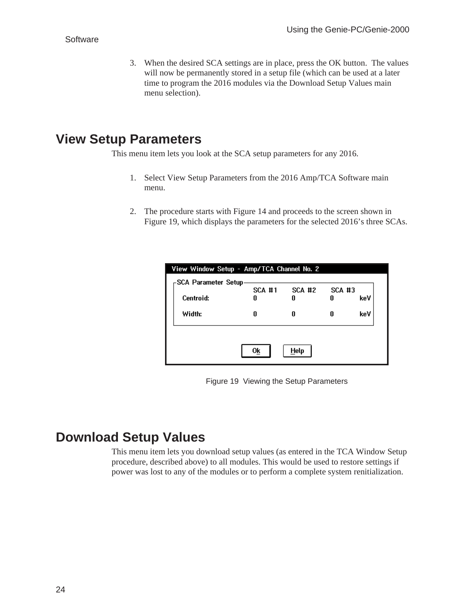<span id="page-28-0"></span>3. When the desired SCA settings are in place, press the OK button. The values will now be permanently stored in a setup file (which can be used at a later time to program the 2016 modules via the Download Setup Values main menu selection).

# **View Setup Parameters**

This menu item lets you look at the SCA setup parameters for any 2016.

- 1. Select View Setup Parameters from the 2016 Amp/TCA Software main menu.
- 2. The procedure starts with Figure [14](#page-24-0) and proceeds to the screen shown in Figure [19](#page-28-0), which displays the parameters for the selected 2016's three SCAs.

| View Window Setup - Amp/TCA Channel No. 2<br>-SCA Parameter Setup |               |               |               |     |
|-------------------------------------------------------------------|---------------|---------------|---------------|-----|
|                                                                   | <b>SCA #1</b> | <b>SCA #2</b> | <b>SCA #3</b> |     |
| Centroid:                                                         | П             | n             | п             | keV |
| Width:                                                            | N             | n             | N             | keV |
|                                                                   |               |               |               |     |
|                                                                   | 0k            | <b>Help</b>   |               |     |

Figure 19 Viewing the Setup Parameters

## **Download Setup Values**

This menu item lets you download setup values (as entered in the TCA Window Setup procedure, described above) to all modules. This would be used to restore settings if power was lost to any of the modules or to perform a complete system renitialization.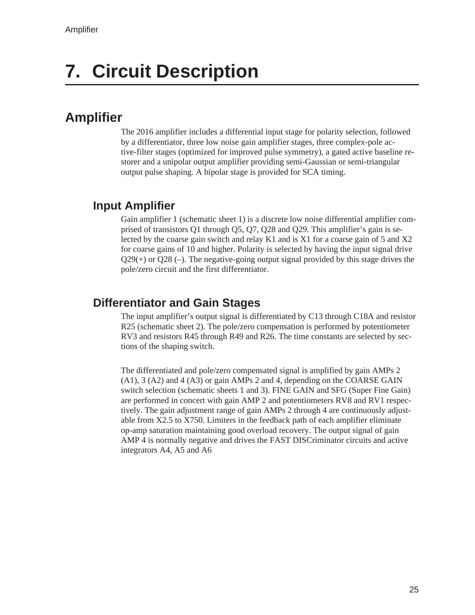# <span id="page-29-0"></span>**7. Circuit Description**

## **Amplifier**

The 2016 amplifier includes a differential input stage for polarity selection, followed by a differentiator, three low noise gain amplifier stages, three complex-pole active-filter stages (optimized for improved pulse symmetry), a gated active baseline restorer and a unipolar output amplifier providing semi-Gaussian or semi-triangular output pulse shaping. A bipolar stage is provided for SCA timing.

#### **Input Amplifier**

Gain amplifier 1 (schematic sheet 1) is a discrete low noise differential amplifier comprised of transistors Q1 through Q5, Q7, Q28 and Q29. This amplifier's gain is selected by the coarse gain switch and relay K1 and is X1 for a coarse gain of 5 and X2 for coarse gains of 10 and higher. Polarity is selected by having the input signal drive  $Q29(+)$  or  $Q28(-)$ . The negative-going output signal provided by this stage drives the pole/zero circuit and the first differentiator.

#### **Differentiator and Gain Stages**

The input amplifier's output signal is differentiated by C13 through C18A and resistor R25 (schematic sheet 2). The pole/zero compensation is performed by potentiometer RV3 and resistors R45 through R49 and R26. The time constants are selected by sections of the shaping switch.

The differentiated and pole/zero compensated signal is amplified by gain AMPs 2 (A1), 3 (A2) and 4 (A3) or gain AMPs 2 and 4, depending on the COARSE GAIN switch selection (schematic sheets 1 and 3). FINE GAIN and SFG (Super Fine Gain) are performed in concert with gain AMP 2 and potentiometers RV8 and RV1 respectively. The gain adjustment range of gain AMPs 2 through 4 are continuously adjustable from X2.5 to X750. Limiters in the feedback path of each amplifier eliminate op-amp saturation maintaining good overload recovery. The output signal of gain AMP 4 is normally negative and drives the FAST DISCriminator circuits and active integrators A4, A5 and A6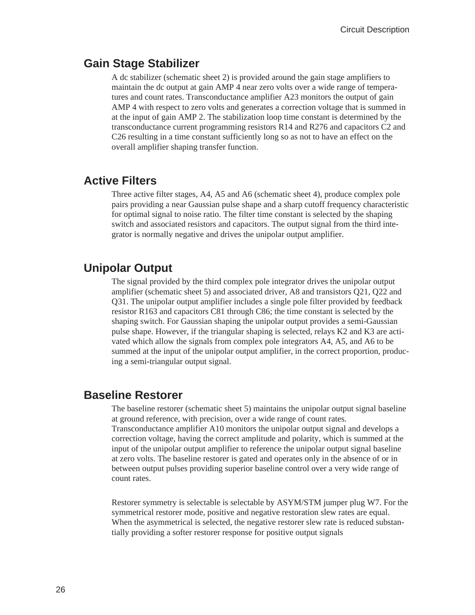#### <span id="page-30-0"></span>**Gain Stage Stabilizer**

A dc stabilizer (schematic sheet 2) is provided around the gain stage amplifiers to maintain the dc output at gain AMP 4 near zero volts over a wide range of temperatures and count rates. Transconductance amplifier A23 monitors the output of gain AMP 4 with respect to zero volts and generates a correction voltage that is summed in at the input of gain AMP 2. The stabilization loop time constant is determined by the transconductance current programming resistors R14 and R276 and capacitors C2 and C26 resulting in a time constant sufficiently long so as not to have an effect on the overall amplifier shaping transfer function.

#### **Active Filters**

Three active filter stages, A4, A5 and A6 (schematic sheet 4), produce complex pole pairs providing a near Gaussian pulse shape and a sharp cutoff frequency characteristic for optimal signal to noise ratio. The filter time constant is selected by the shaping switch and associated resistors and capacitors. The output signal from the third integrator is normally negative and drives the unipolar output amplifier.

#### **Unipolar Output**

The signal provided by the third complex pole integrator drives the unipolar output amplifier (schematic sheet 5) and associated driver, A8 and transistors Q21, Q22 and Q31. The unipolar output amplifier includes a single pole filter provided by feedback resistor R163 and capacitors C81 through C86; the time constant is selected by the shaping switch. For Gaussian shaping the unipolar output provides a semi-Gaussian pulse shape. However, if the triangular shaping is selected, relays K2 and K3 are activated which allow the signals from complex pole integrators A4, A5, and A6 to be summed at the input of the unipolar output amplifier, in the correct proportion, producing a semi-triangular output signal.

#### **Baseline Restorer**

The baseline restorer (schematic sheet 5) maintains the unipolar output signal baseline at ground reference, with precision, over a wide range of count rates.

Transconductance amplifier A10 monitors the unipolar output signal and develops a correction voltage, having the correct amplitude and polarity, which is summed at the input of the unipolar output amplifier to reference the unipolar output signal baseline at zero volts. The baseline restorer is gated and operates only in the absence of or in between output pulses providing superior baseline control over a very wide range of count rates.

Restorer symmetry is selectable is selectable by ASYM/STM jumper plug W7. For the symmetrical restorer mode, positive and negative restoration slew rates are equal. When the asymmetrical is selected, the negative restorer slew rate is reduced substantially providing a softer restorer response for positive output signals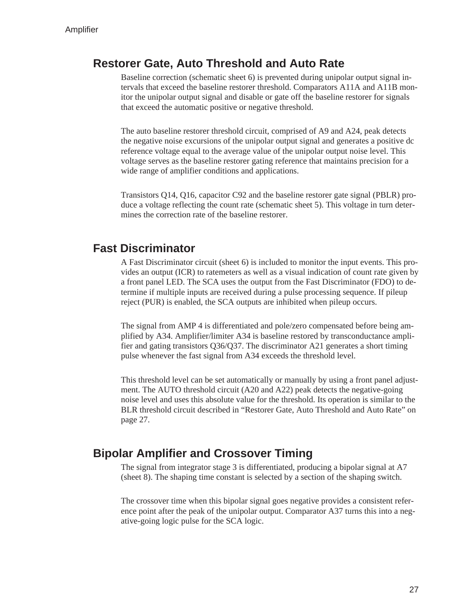#### <span id="page-31-0"></span>**Restorer Gate, Auto Threshold and Auto Rate**

Baseline correction (schematic sheet 6) is prevented during unipolar output signal intervals that exceed the baseline restorer threshold. Comparators A11A and A11B monitor the unipolar output signal and disable or gate off the baseline restorer for signals that exceed the automatic positive or negative threshold.

The auto baseline restorer threshold circuit, comprised of A9 and A24, peak detects the negative noise excursions of the unipolar output signal and generates a positive dc reference voltage equal to the average value of the unipolar output noise level. This voltage serves as the baseline restorer gating reference that maintains precision for a wide range of amplifier conditions and applications.

Transistors Q14, Q16, capacitor C92 and the baseline restorer gate signal (PBLR) produce a voltage reflecting the count rate (schematic sheet 5). This voltage in turn determines the correction rate of the baseline restorer.

#### **Fast Discriminator**

A Fast Discriminator circuit (sheet 6) is included to monitor the input events. This provides an output (ICR) to ratemeters as well as a visual indication of count rate given by a front panel LED. The SCA uses the output from the Fast Discriminator (FDO) to determine if multiple inputs are received during a pulse processing sequence. If pileup reject (PUR) is enabled, the SCA outputs are inhibited when pileup occurs.

The signal from AMP 4 is differentiated and pole/zero compensated before being amplified by A34. Amplifier/limiter A34 is baseline restored by transconductance amplifier and gating transistors Q36/Q37. The discriminator A21 generates a short timing pulse whenever the fast signal from A34 exceeds the threshold level.

This threshold level can be set automatically or manually by using a front panel adjustment. The AUTO threshold circuit (A20 and A22) peak detects the negative-going noise level and uses this absolute value for the threshold. Its operation is similar to the BLR threshold circuit described in "Restorer Gate, Auto Threshold and Auto Rate" on page [27.](#page-31-0)

#### **Bipolar Amplifier and Crossover Timing**

The signal from integrator stage 3 is differentiated, producing a bipolar signal at A7 (sheet 8). The shaping time constant is selected by a section of the shaping switch.

The crossover time when this bipolar signal goes negative provides a consistent reference point after the peak of the unipolar output. Comparator A37 turns this into a negative-going logic pulse for the SCA logic.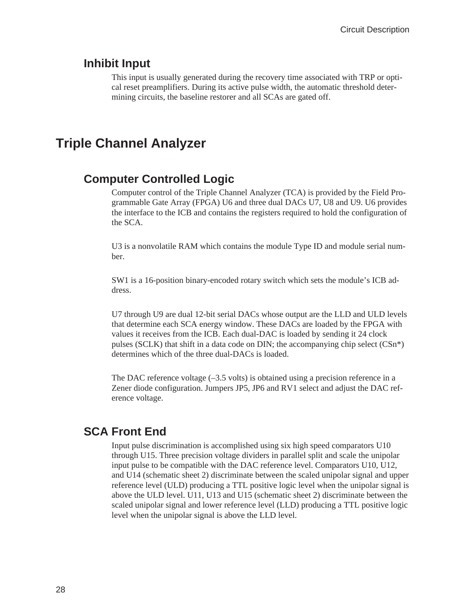#### <span id="page-32-0"></span>**Inhibit Input**

This input is usually generated during the recovery time associated with TRP or optical reset preamplifiers. During its active pulse width, the automatic threshold determining circuits, the baseline restorer and all SCAs are gated off.

### **Triple Channel Analyzer**

#### **Computer Controlled Logic**

Computer control of the Triple Channel Analyzer (TCA) is provided by the Field Programmable Gate Array (FPGA) U6 and three dual DACs U7, U8 and U9. U6 provides the interface to the ICB and contains the registers required to hold the configuration of the SCA.

U3 is a nonvolatile RAM which contains the module Type ID and module serial number.

SW1 is a 16-position binary-encoded rotary switch which sets the module's ICB address.

U7 through U9 are dual 12-bit serial DACs whose output are the LLD and ULD levels that determine each SCA energy window. These DACs are loaded by the FPGA with values it receives from the ICB. Each dual-DAC is loaded by sending it 24 clock pulses (SCLK) that shift in a data code on DIN; the accompanying chip select  $(CSn^*)$ determines which of the three dual-DACs is loaded.

The DAC reference voltage  $(-3.5 \text{ volts})$  is obtained using a precision reference in a Zener diode configuration. Jumpers JP5, JP6 and RV1 select and adjust the DAC reference voltage.

#### **SCA Front End**

Input pulse discrimination is accomplished using six high speed comparators U10 through U15. Three precision voltage dividers in parallel split and scale the unipolar input pulse to be compatible with the DAC reference level. Comparators U10, U12, and U14 (schematic sheet 2) discriminate between the scaled unipolar signal and upper reference level (ULD) producing a TTL positive logic level when the unipolar signal is above the ULD level. U11, U13 and U15 (schematic sheet 2) discriminate between the scaled unipolar signal and lower reference level (LLD) producing a TTL positive logic level when the unipolar signal is above the LLD level.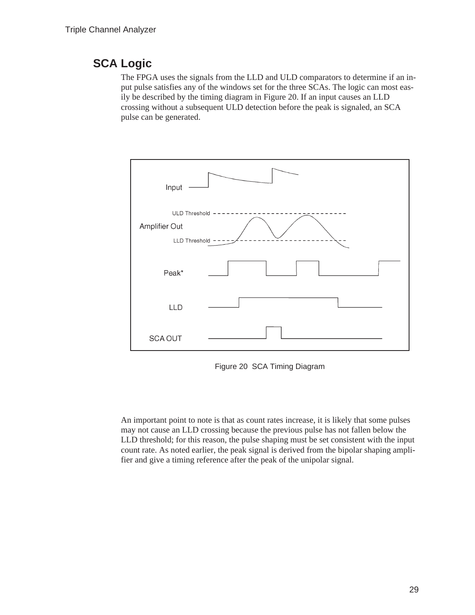### <span id="page-33-0"></span>**SCA Logic**

The FPGA uses the signals from the LLD and ULD comparators to determine if an input pulse satisfies any of the windows set for the three SCAs. The logic can most easily be described by the timing diagram in Figure [20](#page-33-0). If an input causes an LLD crossing without a subsequent ULD detection before the peak is signaled, an SCA pulse can be generated.



Figure 20 SCA Timing Diagram

An important point to note is that as count rates increase, it is likely that some pulses may not cause an LLD crossing because the previous pulse has not fallen below the LLD threshold; for this reason, the pulse shaping must be set consistent with the input count rate. As noted earlier, the peak signal is derived from the bipolar shaping amplifier and give a timing reference after the peak of the unipolar signal.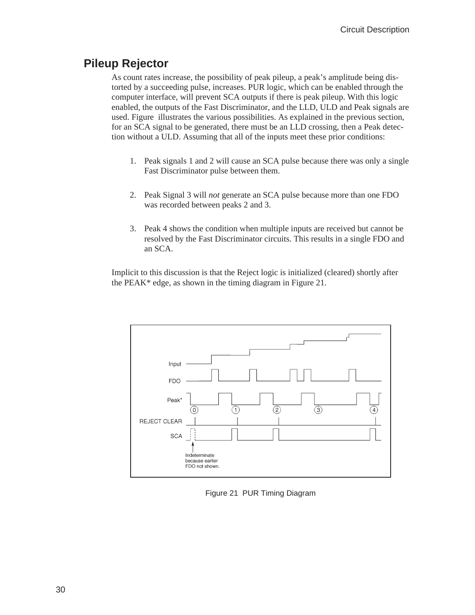#### <span id="page-34-0"></span>**Pileup Rejector**

As count rates increase, the possibility of peak pileup, a peak's amplitude being distorted by a succeeding pulse, increases. PUR logic, which can be enabled through the computer interface, will prevent SCA outputs if there is peak pileup. With this logic enabled, the outputs of the Fast Discriminator, and the LLD, ULD and Peak signals are used. Figure illustrates the various possibilities. As explained in the previous section, for an SCA signal to be generated, there must be an LLD crossing, then a Peak detection without a ULD. Assuming that all of the inputs meet these prior conditions:

- 1. Peak signals 1 and 2 will cause an SCA pulse because there was only a single Fast Discriminator pulse between them.
- 2. Peak Signal 3 will *not* generate an SCA pulse because more than one FDO was recorded between peaks 2 and 3.
- 3. Peak 4 shows the condition when multiple inputs are received but cannot be resolved by the Fast Discriminator circuits. This results in a single FDO and an SCA.

Implicit to this discussion is that the Reject logic is initialized (cleared) shortly after the PEAK\* edge, as shown in the timing diagram in Figure [21](#page-34-0).



Figure 21 PUR Timing Diagram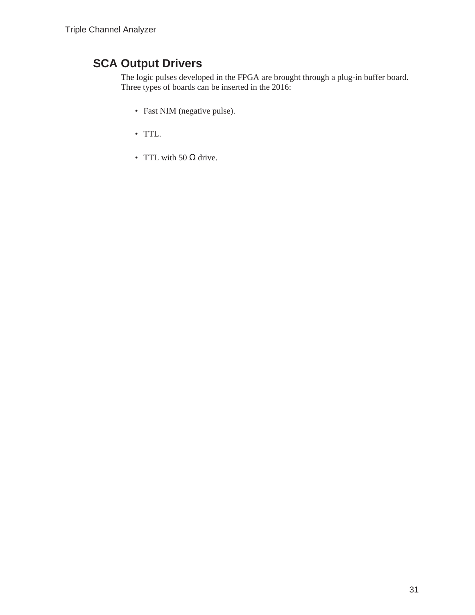## <span id="page-35-0"></span>**SCA Output Drivers**

The logic pulses developed in the FPGA are brought through a plug-in buffer board. Three types of boards can be inserted in the 2016:

- Fast NIM (negative pulse).
- TTL.
- TTL with 50  $\Omega$  drive.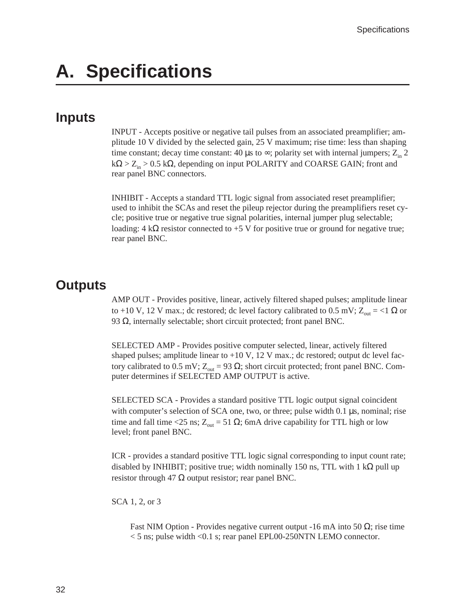# <span id="page-36-0"></span>**A. Specifications**

#### **Inputs**

INPUT - Accepts positive or negative tail pulses from an associated preamplifier; amplitude 10 V divided by the selected gain, 25 V maximum; rise time: less than shaping time constant; decay time constant: 40  $\mu$ s to  $\infty$ ; polarity set with internal jumpers; Z<sub>in</sub> 2  $k\Omega > Z_{in} > 0.5 k\Omega$ , depending on input POLARITY and COARSE GAIN; front and rear panel BNC connectors.

INHIBIT - Accepts a standard TTL logic signal from associated reset preamplifier; used to inhibit the SCAs and reset the pileup rejector during the preamplifiers reset cycle; positive true or negative true signal polarities, internal jumper plug selectable; loading:  $4 \mathrm{k}\Omega$  resistor connected to +5 V for positive true or ground for negative true; rear panel BNC.

### **Outputs**

AMP OUT - Provides positive, linear, actively filtered shaped pulses; amplitude linear to +10 V, 12 V max.; dc restored; dc level factory calibrated to 0.5 mV;  $Z_{\text{out}} = < 1 \Omega$  or 93  $Ω$ , internally selectable; short circuit protected; front panel BNC.

SELECTED AMP - Provides positive computer selected, linear, actively filtered shaped pulses; amplitude linear to  $+10 \text{ V}$ , 12 V max.; dc restored; output dc level factory calibrated to 0.5 mV;  $Z_{out}$  = 93 Ω; short circuit protected; front panel BNC. Computer determines if SELECTED AMP OUTPUT is active.

SELECTED SCA - Provides a standard positive TTL logic output signal coincident with computer's selection of SCA one, two, or three; pulse width 0.1  $\mu$ s, nominal; rise time and fall time <25 ns;  $Z_{out}$  = 51 Ω; 6mA drive capability for TTL high or low level; front panel BNC.

ICR - provides a standard positive TTL logic signal corresponding to input count rate; disabled by INHIBIT; positive true; width nominally 150 ns, TTL with 1 k $\Omega$  pull up resistor through 47  $\Omega$  output resistor; rear panel BNC.

SCA 1, 2, or 3

Fast NIM Option - Provides negative current output -16 mA into 50  $\Omega$ ; rise time  $<$  5 ns; pulse width  $<$  0.1 s; rear panel EPL00-250NTN LEMO connector.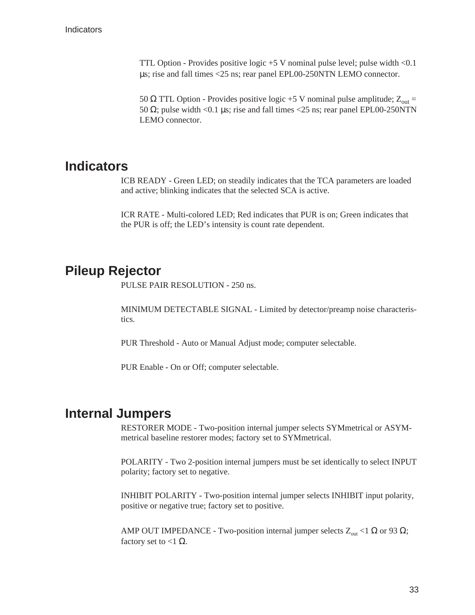<span id="page-37-0"></span>TTL Option - Provides positive logic +5 V nominal pulse level; pulse width <0.1 µs; rise and fall times <25 ns; rear panel EPL00-250NTN LEMO connector.

50 Ω TTL Option - Provides positive logic +5 V nominal pulse amplitude;  $Z_{out}$  = 50  $\Omega$ ; pulse width <0.1 µs; rise and fall times <25 ns; rear panel EPL00-250NTN LEMO connector.

#### **Indicators**

ICB READY - Green LED; on steadily indicates that the TCA parameters are loaded and active; blinking indicates that the selected SCA is active.

ICR RATE - Multi-colored LED; Red indicates that PUR is on; Green indicates that the PUR is off; the LED's intensity is count rate dependent.

### **Pileup Rejector**

PULSE PAIR RESOLUTION - 250 ns.

MINIMUM DETECTABLE SIGNAL - Limited by detector/preamp noise characteristics.

PUR Threshold - Auto or Manual Adjust mode; computer selectable.

PUR Enable - On or Off; computer selectable.

### **Internal Jumpers**

RESTORER MODE - Two-position internal jumper selects SYMmetrical or ASYMmetrical baseline restorer modes; factory set to SYMmetrical.

POLARITY - Two 2-position internal jumpers must be set identically to select INPUT polarity; factory set to negative.

INHIBIT POLARITY - Two-position internal jumper selects INHIBIT input polarity, positive or negative true; factory set to positive.

AMP OUT IMPEDANCE - Two-position internal jumper selects  $Z_{\text{out}} < 1 \Omega$  or 93  $\Omega$ ; factory set to <1  $\Omega$ .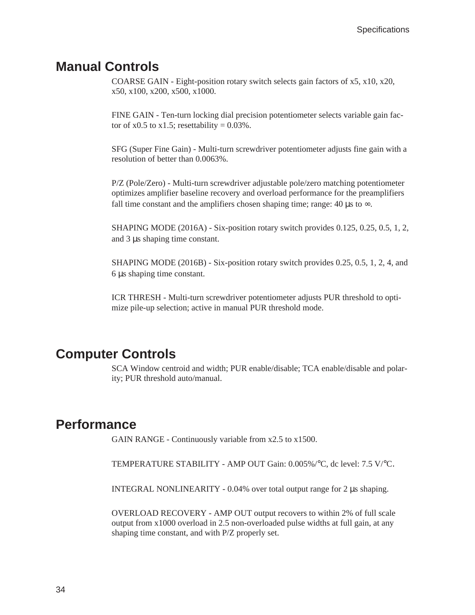### <span id="page-38-0"></span>**Manual Controls**

COARSE GAIN - Eight-position rotary switch selects gain factors of x5, x10, x20, x50, x100, x200, x500, x1000.

FINE GAIN - Ten-turn locking dial precision potentiometer selects variable gain factor of x0.5 to x1.5; resettability =  $0.03\%$ .

SFG (Super Fine Gain) - Multi-turn screwdriver potentiometer adjusts fine gain with a resolution of better than 0.0063%.

P/Z (Pole/Zero) - Multi-turn screwdriver adjustable pole/zero matching potentiometer optimizes amplifier baseline recovery and overload performance for the preamplifiers fall time constant and the amplifiers chosen shaping time; range: 40  $\mu$ s to  $\infty$ .

SHAPING MODE (2016A) - Six-position rotary switch provides 0.125, 0.25, 0.5, 1, 2, and 3 µs shaping time constant.

SHAPING MODE (2016B) - Six-position rotary switch provides 0.25, 0.5, 1, 2, 4, and 6 µs shaping time constant.

ICR THRESH - Multi-turn screwdriver potentiometer adjusts PUR threshold to optimize pile-up selection; active in manual PUR threshold mode.

### **Computer Controls**

SCA Window centroid and width; PUR enable/disable; TCA enable/disable and polarity; PUR threshold auto/manual.

### **Performance**

GAIN RANGE - Continuously variable from x2.5 to x1500.

TEMPERATURE STABILITY - AMP OUT Gain: 0.005%/°C, dc level: 7.5 V/°C.

INTEGRAL NONLINEARITY - 0.04% over total output range for 2 µs shaping.

OVERLOAD RECOVERY - AMP OUT output recovers to within 2% of full scale output from x1000 overload in 2.5 non-overloaded pulse widths at full gain, at any shaping time constant, and with P/Z properly set.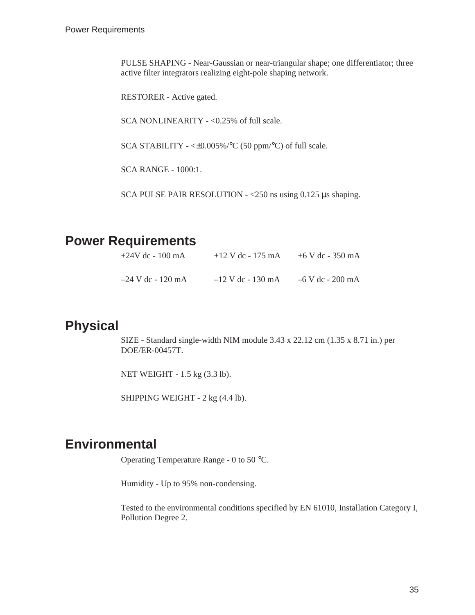<span id="page-39-0"></span>PULSE SHAPING - Near-Gaussian or near-triangular shape; one differentiator; three active filter integrators realizing eight-pole shaping network.

RESTORER - Active gated.

SCA NONLINEARITY - <0.25% of full scale.

SCA STABILITY - <±0.005%/°C (50 ppm/°C) of full scale.

SCA RANGE - 1000:1.

SCA PULSE PAIR RESOLUTION - <250 ns using 0.125 µs shaping.

### **Power Requirements**

| $+24V$ dc - 100 mA  | $+12$ V dc - 175 mA | +6 V dc - 350 mA |
|---------------------|---------------------|------------------|
| $-24$ V dc - 120 mA | $-12$ V dc - 130 mA | –6 V dc - 200 mA |

### **Physical**

SIZE - Standard single-width NIM module 3.43 x 22.12 cm (1.35 x 8.71 in.) per DOE/ER-00457T.

NET WEIGHT - 1.5 kg (3.3 lb).

SHIPPING WEIGHT - 2 kg (4.4 lb).

## **Environmental**

Operating Temperature Range - 0 to 50 °C.

Humidity - Up to 95% non-condensing.

Tested to the environmental conditions specified by EN 61010, Installation Category I, Pollution Degree 2.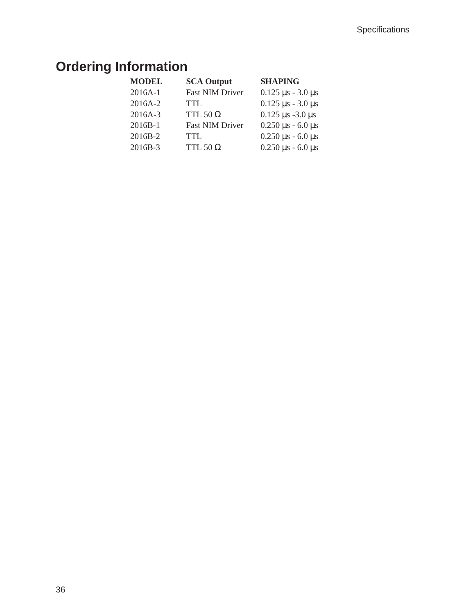# <span id="page-40-0"></span>**Ordering Information**

| <b>MODEL</b> | <b>SCA Output</b>      | <b>SHAPING</b>                |
|--------------|------------------------|-------------------------------|
| 2016A-1      | <b>Fast NIM Driver</b> | $0.125 \,\mu s - 3.0 \,\mu s$ |
| 2016A-2      | TTL.                   | $0.125 \,\mu s$ - 3.0 $\mu s$ |
| 2016A-3      | TTL 50 $\Omega$        | $0.125 \,\mu s - 3.0 \,\mu s$ |
| $2016B-1$    | <b>Fast NIM Driver</b> | $0.250 \,\mu s$ - 6.0 $\mu s$ |
| 2016B-2      | <b>TTL</b>             | $0.250 \,\mu s$ - 6.0 $\mu s$ |
| 2016B-3      | TTL 50 $\Omega$        | $0.250 \,\mu s$ - 6.0 $\mu s$ |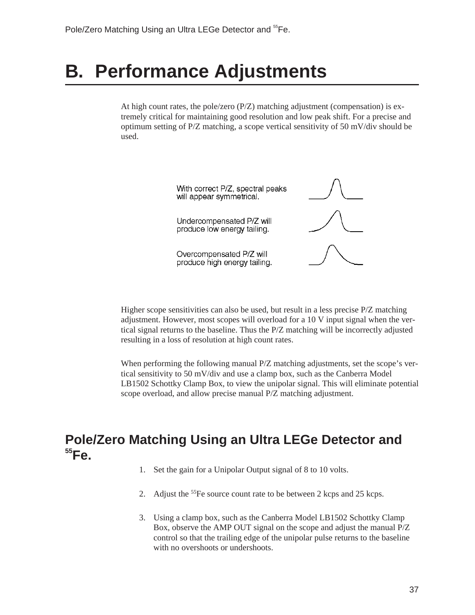# <span id="page-41-0"></span>**B. Performance Adjustments**

At high count rates, the pole/zero  $(P/Z)$  matching adjustment (compensation) is extremely critical for maintaining good resolution and low peak shift. For a precise and optimum setting of P/Z matching, a scope vertical sensitivity of 50 mV/div should be used.



Higher scope sensitivities can also be used, but result in a less precise P/Z matching adjustment. However, most scopes will overload for a 10 V input signal when the vertical signal returns to the baseline. Thus the P/Z matching will be incorrectly adjusted resulting in a loss of resolution at high count rates.

When performing the following manual P/Z matching adjustments, set the scope's vertical sensitivity to 50 mV/div and use a clamp box, such as the Canberra Model LB1502 Schottky Clamp Box, to view the unipolar signal. This will eliminate potential scope overload, and allow precise manual P/Z matching adjustment.

## **Pole/Zero Matching Using an Ultra LEGe Detector and 55Fe.**

- 1. Set the gain for a Unipolar Output signal of 8 to 10 volts.
- 2. Adjust the <sup>55</sup>Fe source count rate to be between 2 kcps and 25 kcps.
- 3. Using a clamp box, such as the Canberra Model LB1502 Schottky Clamp Box, observe the AMP OUT signal on the scope and adjust the manual P/Z control so that the trailing edge of the unipolar pulse returns to the baseline with no overshoots or undershoots.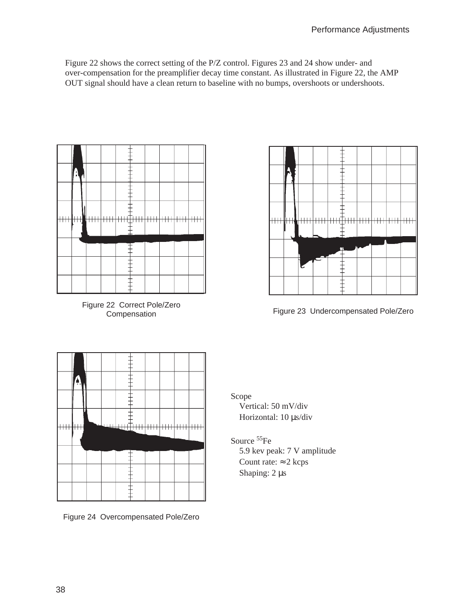<span id="page-42-0"></span>Figure [22](#page-42-0) shows the correct setting of the P/Z control. Figures [23](#page-42-0) and [24](#page-42-0) show under- and over-compensation for the preamplifier decay time constant. As illustrated in Figure [22](#page-42-0), the AMP OUT signal should have a clean return to baseline with no bumps, overshoots or undershoots.



Figure 22 Correct Pole/Zero



Compensation Figure 23 Undercompensated Pole/Zero



Figure 24 Overcompensated Pole/Zero

Scope Vertical: 50 mV/div

Horizontal: 10 µs/div

Source 55Fe

5.9 kev peak: 7 V amplitude Count rate:  $\approx$  2 kcps Shaping: 2  $\mu$ s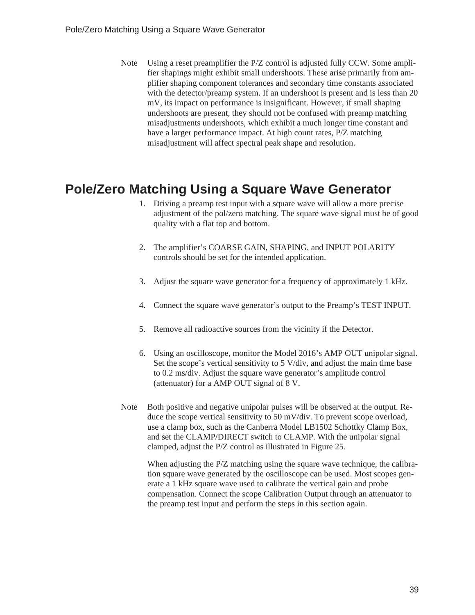<span id="page-43-0"></span>Note Using a reset preamplifier the P/Z control is adjusted fully CCW. Some amplifier shapings might exhibit small undershoots. These arise primarily from amplifier shaping component tolerances and secondary time constants associated with the detector/preamp system. If an undershoot is present and is less than 20 mV, its impact on performance is insignificant. However, if small shaping undershoots are present, they should not be confused with preamp matching misadjustments undershoots, which exhibit a much longer time constant and have a larger performance impact. At high count rates, P/Z matching misadjustment will affect spectral peak shape and resolution.

# **Pole/Zero Matching Using a Square Wave Generator**

- 1. Driving a preamp test input with a square wave will allow a more precise adjustment of the pol/zero matching. The square wave signal must be of good quality with a flat top and bottom.
- 2. The amplifier's COARSE GAIN, SHAPING, and INPUT POLARITY controls should be set for the intended application.
- 3. Adjust the square wave generator for a frequency of approximately 1 kHz.
- 4. Connect the square wave generator's output to the Preamp's TEST INPUT.
- 5. Remove all radioactive sources from the vicinity if the Detector.
- 6. Using an oscilloscope, monitor the Model 2016's AMP OUT unipolar signal. Set the scope's vertical sensitivity to 5 V/div, and adjust the main time base to 0.2 ms/div. Adjust the square wave generator's amplitude control (attenuator) for a AMP OUT signal of 8 V.
- Note Both positive and negative unipolar pulses will be observed at the output. Reduce the scope vertical sensitivity to 50 mV/div. To prevent scope overload, use a clamp box, such as the Canberra Model LB1502 Schottky Clamp Box, and set the CLAMP/DIRECT switch to CLAMP. With the unipolar signal clamped, adjust the P/Z control as illustrated in Figure [25](#page-44-0).

When adjusting the P/Z matching using the square wave technique, the calibration square wave generated by the oscilloscope can be used. Most scopes generate a 1 kHz square wave used to calibrate the vertical gain and probe compensation. Connect the scope Calibration Output through an attenuator to the preamp test input and perform the steps in this section again.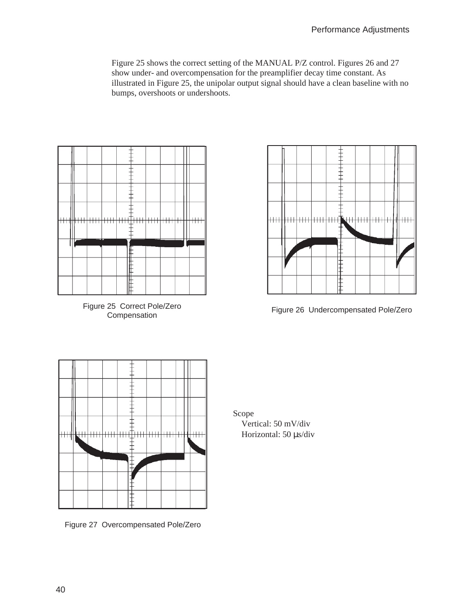<span id="page-44-0"></span>Figure [25](#page-44-0) shows the correct setting of the MANUAL P/Z control. Figures [26](#page-44-0) and [27](#page-44-0) show under- and overcompensation for the preamplifier decay time constant. As illustrated in Figure [25,](#page-44-0) the unipolar output signal should have a clean baseline with no bumps, overshoots or undershoots.



Figure 25 Correct Pole/Zero



Figure 26 Undercompensated Pole/Zero



Figure 27 Overcompensated Pole/Zero

Scope

Vertical: 50 mV/div Horizontal: 50 µs/div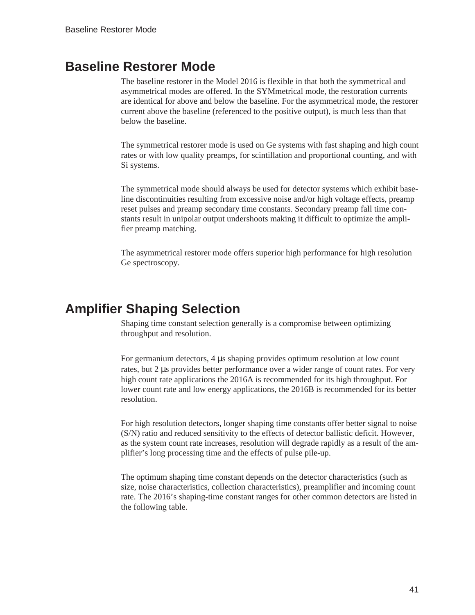#### <span id="page-45-0"></span>**Baseline Restorer Mode**

The baseline restorer in the Model 2016 is flexible in that both the symmetrical and asymmetrical modes are offered. In the SYMmetrical mode, the restoration currents are identical for above and below the baseline. For the asymmetrical mode, the restorer current above the baseline (referenced to the positive output), is much less than that below the baseline.

The symmetrical restorer mode is used on Ge systems with fast shaping and high count rates or with low quality preamps, for scintillation and proportional counting, and with Si systems.

The symmetrical mode should always be used for detector systems which exhibit baseline discontinuities resulting from excessive noise and/or high voltage effects, preamp reset pulses and preamp secondary time constants. Secondary preamp fall time constants result in unipolar output undershoots making it difficult to optimize the amplifier preamp matching.

The asymmetrical restorer mode offers superior high performance for high resolution Ge spectroscopy.

## **Amplifier Shaping Selection**

Shaping time constant selection generally is a compromise between optimizing throughput and resolution.

For germanium detectors, 4 µs shaping provides optimum resolution at low count rates, but 2 µs provides better performance over a wider range of count rates. For very high count rate applications the 2016A is recommended for its high throughput. For lower count rate and low energy applications, the 2016B is recommended for its better resolution.

For high resolution detectors, longer shaping time constants offer better signal to noise (S/N) ratio and reduced sensitivity to the effects of detector ballistic deficit. However, as the system count rate increases, resolution will degrade rapidly as a result of the amplifier's long processing time and the effects of pulse pile-up.

The optimum shaping time constant depends on the detector characteristics (such as size, noise characteristics, collection characteristics), preamplifier and incoming count rate. The 2016's shaping-time constant ranges for other common detectors are listed in the following table.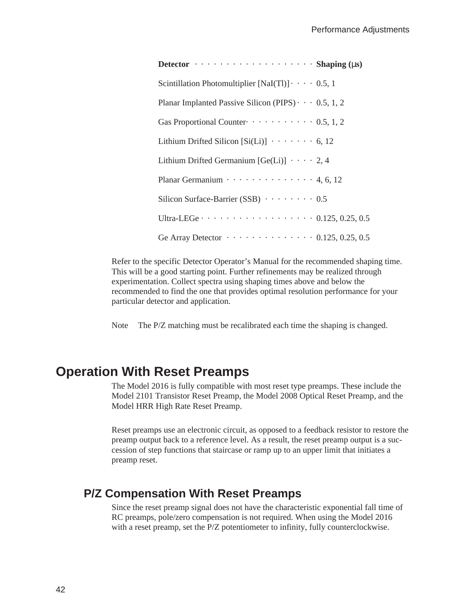<span id="page-46-0"></span>**Detector** · · · · · · · · · · · · · · · · · · · **Shaping (**µ**s)** Scintillation Photomultiplier  $[NaI(T)] \cdot \cdot \cdot \cdot 0.5$ , 1 Planar Implanted Passive Silicon (PIPS)  $\cdots$  0.5, 1, 2 Gas Proportional Counter $\cdots \cdots \cdots \cdots 0.5, 1, 2$ Lithium Drifted Silicon  $[Si(Li)] \cdot \cdot \cdot \cdot \cdot 6, 12$ Lithium Drifted Germanium  $[Ge(Li)] \cdot \cdot \cdot \cdot 2, 4$ Planar Germanium  $\cdots$   $\cdots$   $\cdots$   $\cdots$   $\cdots$  4, 6, 12 Silicon Surface-Barrier (SSB)  $\cdots$   $\cdots$  0.5 Ultra-LEGe  $\cdots$   $\cdots$   $\cdots$   $\cdots$   $\cdots$   $\cdots$   $\cdots$  0.125, 0.25, 0.5 Ge Array Detector  $\cdots \cdots \cdots \cdots \cdots 0.125, 0.25, 0.5$ 

Refer to the specific Detector Operator's Manual for the recommended shaping time. This will be a good starting point. Further refinements may be realized through experimentation. Collect spectra using shaping times above and below the recommended to find the one that provides optimal resolution performance for your particular detector and application.

Note The P/Z matching must be recalibrated each time the shaping is changed.

#### **Operation With Reset Preamps**

The Model 2016 is fully compatible with most reset type preamps. These include the Model 2101 Transistor Reset Preamp, the Model 2008 Optical Reset Preamp, and the Model HRR High Rate Reset Preamp.

Reset preamps use an electronic circuit, as opposed to a feedback resistor to restore the preamp output back to a reference level. As a result, the reset preamp output is a succession of step functions that staircase or ramp up to an upper limit that initiates a preamp reset.

#### **P/Z Compensation With Reset Preamps**

Since the reset preamp signal does not have the characteristic exponential fall time of RC preamps, pole/zero compensation is not required. When using the Model 2016 with a reset preamp, set the P/Z potentiometer to infinity, fully counterclockwise.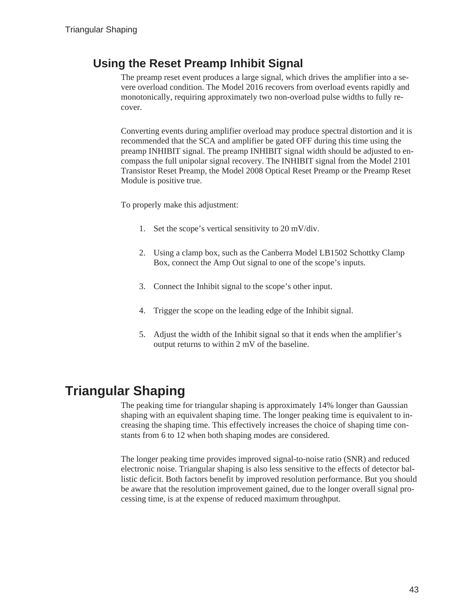### <span id="page-47-0"></span>**Using the Reset Preamp Inhibit Signal**

The preamp reset event produces a large signal, which drives the amplifier into a severe overload condition. The Model 2016 recovers from overload events rapidly and monotonically, requiring approximately two non-overload pulse widths to fully recover.

Converting events during amplifier overload may produce spectral distortion and it is recommended that the SCA and amplifier be gated OFF during this time using the preamp INHIBIT signal. The preamp INHIBIT signal width should be adjusted to encompass the full unipolar signal recovery. The INHIBIT signal from the Model 2101 Transistor Reset Preamp, the Model 2008 Optical Reset Preamp or the Preamp Reset Module is positive true.

To properly make this adjustment:

- 1. Set the scope's vertical sensitivity to 20 mV/div.
- 2. Using a clamp box, such as the Canberra Model LB1502 Schottky Clamp Box, connect the Amp Out signal to one of the scope's inputs.
- 3. Connect the Inhibit signal to the scope's other input.
- 4. Trigger the scope on the leading edge of the Inhibit signal.
- 5. Adjust the width of the Inhibit signal so that it ends when the amplifier's output returns to within 2 mV of the baseline.

# **Triangular Shaping**

The peaking time for triangular shaping is approximately 14% longer than Gaussian shaping with an equivalent shaping time. The longer peaking time is equivalent to increasing the shaping time. This effectively increases the choice of shaping time constants from 6 to 12 when both shaping modes are considered.

The longer peaking time provides improved signal-to-noise ratio (SNR) and reduced electronic noise. Triangular shaping is also less sensitive to the effects of detector ballistic deficit. Both factors benefit by improved resolution performance. But you should be aware that the resolution improvement gained, due to the longer overall signal processing time, is at the expense of reduced maximum throughput.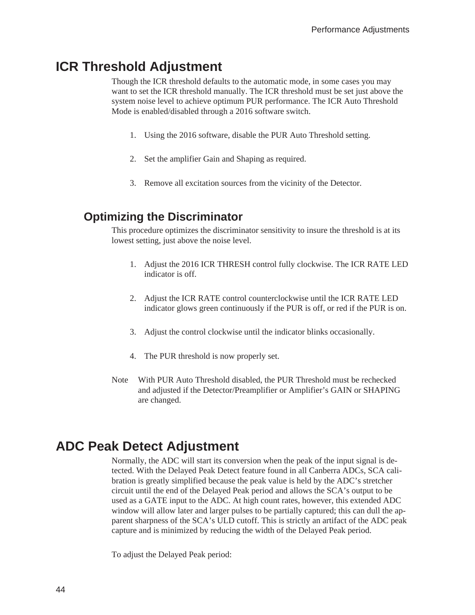#### <span id="page-48-0"></span>**ICR Threshold Adjustment**

Though the ICR threshold defaults to the automatic mode, in some cases you may want to set the ICR threshold manually. The ICR threshold must be set just above the system noise level to achieve optimum PUR performance. The ICR Auto Threshold Mode is enabled/disabled through a 2016 software switch.

- 1. Using the 2016 software, disable the PUR Auto Threshold setting.
- 2. Set the amplifier Gain and Shaping as required.
- 3. Remove all excitation sources from the vicinity of the Detector.

#### **Optimizing the Discriminator**

This procedure optimizes the discriminator sensitivity to insure the threshold is at its lowest setting, just above the noise level.

- 1. Adjust the 2016 ICR THRESH control fully clockwise. The ICR RATE LED indicator is off.
- 2. Adjust the ICR RATE control counterclockwise until the ICR RATE LED indicator glows green continuously if the PUR is off, or red if the PUR is on.
- 3. Adjust the control clockwise until the indicator blinks occasionally.
- 4. The PUR threshold is now properly set.
- Note With PUR Auto Threshold disabled, the PUR Threshold must be rechecked and adjusted if the Detector/Preamplifier or Amplifier's GAIN or SHAPING are changed.

#### **ADC Peak Detect Adjustment**

Normally, the ADC will start its conversion when the peak of the input signal is detected. With the Delayed Peak Detect feature found in all Canberra ADCs, SCA calibration is greatly simplified because the peak value is held by the ADC's stretcher circuit until the end of the Delayed Peak period and allows the SCA's output to be used as a GATE input to the ADC. At high count rates, however, this extended ADC window will allow later and larger pulses to be partially captured; this can dull the apparent sharpness of the SCA's ULD cutoff. This is strictly an artifact of the ADC peak capture and is minimized by reducing the width of the Delayed Peak period.

To adjust the Delayed Peak period: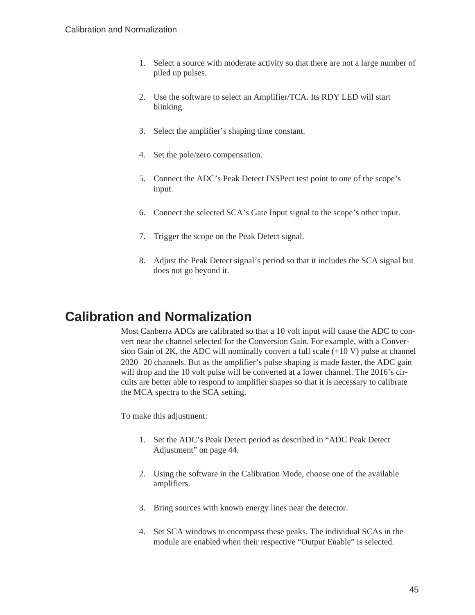- <span id="page-49-0"></span>1. Select a source with moderate activity so that there are not a large number of piled up pulses.
- 2. Use the software to select an Amplifier/TCA. Its RDY LED will start blinking.
- 3. Select the amplifier's shaping time constant.
- 4. Set the pole/zero compensation.
- 5. Connect the ADC's Peak Detect INSPect test point to one of the scope's input.
- 6. Connect the selected SCA's Gate Input signal to the scope's other input.
- 7. Trigger the scope on the Peak Detect signal.
- 8. Adjust the Peak Detect signal's period so that it includes the SCA signal but does not go beyond it.

### **Calibration and Normalization**

Most Canberra ADCs are calibrated so that a 10 volt input will cause the ADC to convert near the channel selected for the Conversion Gain. For example, with a Conversion Gain of 2K, the ADC will nominally convert a full scale (+10 V) pulse at channel 2020 20 channels. But as the amplifier's pulse shaping is made faster, the ADC gain will drop and the 10 volt pulse will be converted at a lower channel. The 2016's circuits are better able to respond to amplifier shapes so that it is necessary to calibrate the MCA spectra to the SCA setting.

To make this adjustment:

- 1. Set the ADC's Peak Detect period as described in "ADC Peak Detect Adjustment" on page [44](#page-48-0).
- 2. Using the software in the Calibration Mode, choose one of the available amplifiers.
- 3. Bring sources with known energy lines near the detector.
- 4. Set SCA windows to encompass these peaks. The individual SCAs in the module are enabled when their respective "Output Enable" is selected.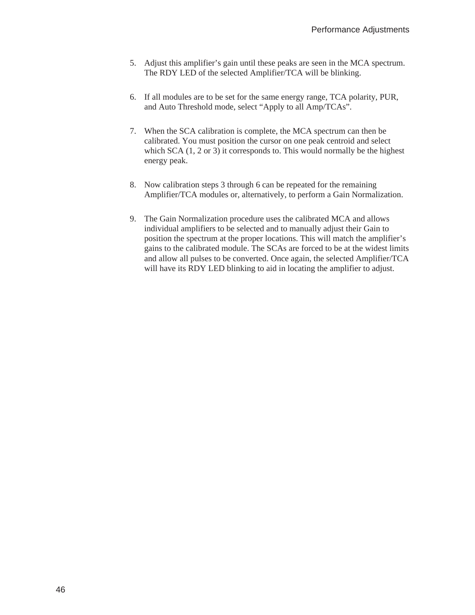- 5. Adjust this amplifier's gain until these peaks are seen in the MCA spectrum. The RDY LED of the selected Amplifier/TCA will be blinking.
- 6. If all modules are to be set for the same energy range, TCA polarity, PUR, and Auto Threshold mode, select "Apply to all Amp/TCAs".
- 7. When the SCA calibration is complete, the MCA spectrum can then be calibrated. You must position the cursor on one peak centroid and select which SCA  $(1, 2 \text{ or } 3)$  it corresponds to. This would normally be the highest energy peak.
- 8. Now calibration steps 3 through 6 can be repeated for the remaining Amplifier/TCA modules or, alternatively, to perform a Gain Normalization.
- 9. The Gain Normalization procedure uses the calibrated MCA and allows individual amplifiers to be selected and to manually adjust their Gain to position the spectrum at the proper locations. This will match the amplifier's gains to the calibrated module. The SCAs are forced to be at the widest limits and allow all pulses to be converted. Once again, the selected Amplifier/TCA will have its RDY LED blinking to aid in locating the amplifier to adjust.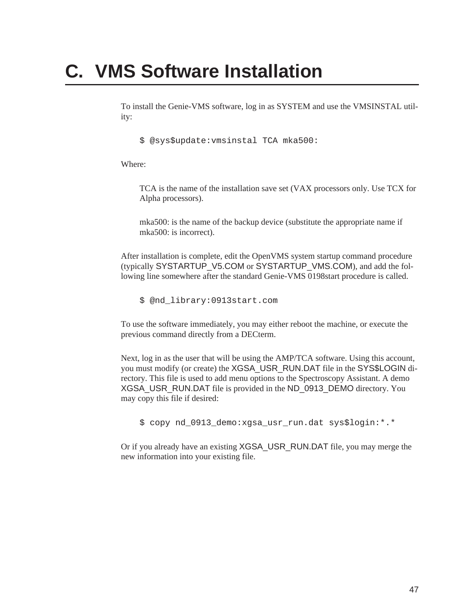# <span id="page-51-0"></span>**C. VMS Software Installation**

To install the Genie-VMS software, log in as SYSTEM and use the VMSINSTAL utility:

\$ @sys\$update:vmsinstal TCA mka500:

Where:

TCA is the name of the installation save set (VAX processors only. Use TCX for Alpha processors).

mka500: is the name of the backup device (substitute the appropriate name if mka500: is incorrect).

After installation is complete, edit the OpenVMS system startup command procedure (typically SYSTARTUP\_V5.COM or SYSTARTUP\_VMS.COM), and add the following line somewhere after the standard Genie-VMS 0198start procedure is called.

\$ @nd\_library:0913start.com

To use the software immediately, you may either reboot the machine, or execute the previous command directly from a DECterm.

Next, log in as the user that will be using the AMP/TCA software. Using this account, you must modify (or create) the XGSA\_USR\_RUN.DAT file in the SYS\$LOGIN directory. This file is used to add menu options to the Spectroscopy Assistant. A demo XGSA\_USR\_RUN.DAT file is provided in the ND\_0913\_DEMO directory. You may copy this file if desired:

\$ copy nd\_0913\_demo:xgsa\_usr\_run.dat sys\$login:\*.\*

Or if you already have an existing XGSA\_USR\_RUN.DAT file, you may merge the new information into your existing file.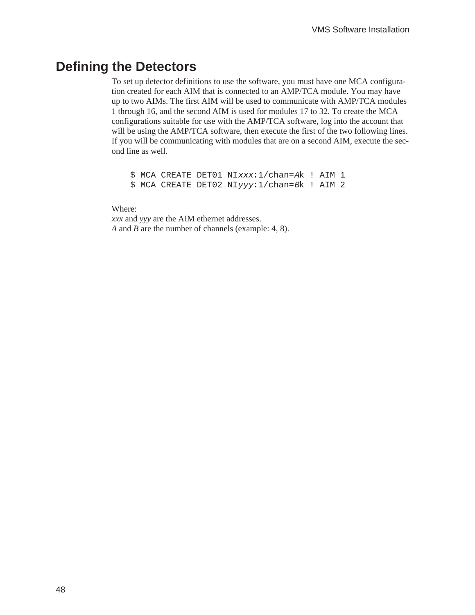### <span id="page-52-0"></span>**Defining the Detectors**

To set up detector definitions to use the software, you must have one MCA configuration created for each AIM that is connected to an AMP/TCA module. You may have up to two AIMs. The first AIM will be used to communicate with AMP/TCA modules 1 through 16, and the second AIM is used for modules 17 to 32. To create the MCA configurations suitable for use with the AMP/TCA software, log into the account that will be using the AMP/TCA software, then execute the first of the two following lines. If you will be communicating with modules that are on a second AIM, execute the second line as well.

\$ MCA CREATE DET01 NIxxx:1/chan=Ak ! AIM 1 \$ MCA CREATE DET02 NIyyy:1/chan=Bk ! AIM 2

Where:

*xxx* and *yyy* are the AIM ethernet addresses. *A* and *B* are the number of channels (example: 4, 8).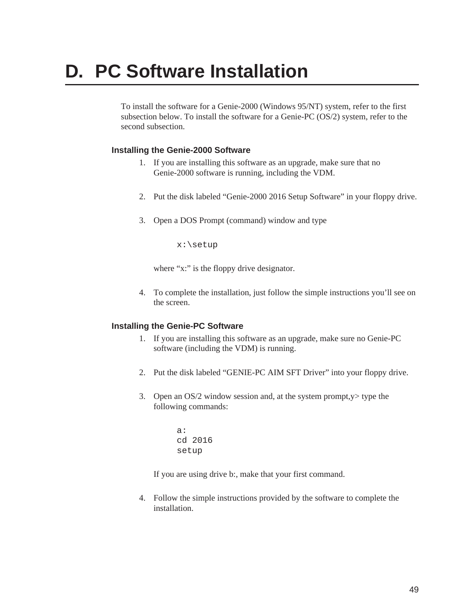# <span id="page-53-0"></span>**D. PC Software Installation**

To install the software for a Genie-2000 (Windows 95/NT) system, refer to the first subsection below. To install the software for a Genie-PC (OS/2) system, refer to the second subsection.

#### **Installing the Genie-2000 Software**

- 1. If you are installing this software as an upgrade, make sure that no Genie-2000 software is running, including the VDM.
- 2. Put the disk labeled "Genie-2000 2016 Setup Software" in your floppy drive.
- 3. Open a DOS Prompt (command) window and type

x:\setup

where "x:" is the floppy drive designator.

4. To complete the installation, just follow the simple instructions you'll see on the screen.

#### **Installing the Genie-PC Software**

- 1. If you are installing this software as an upgrade, make sure no Genie-PC software (including the VDM) is running.
- 2. Put the disk labeled "GENIE-PC AIM SFT Driver" into your floppy drive.
- 3. Open an OS/2 window session and, at the system prompt,y> type the following commands:

a: cd 2016 setup

If you are using drive b:, make that your first command.

4. Follow the simple instructions provided by the software to complete the installation.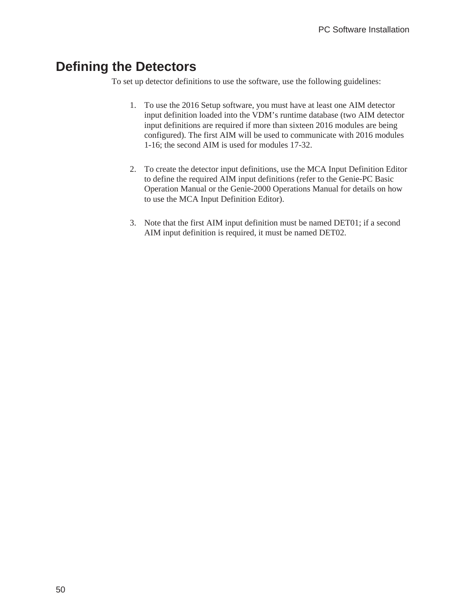### <span id="page-54-0"></span>**Defining the Detectors**

To set up detector definitions to use the software, use the following guidelines:

- 1. To use the 2016 Setup software, you must have at least one AIM detector input definition loaded into the VDM's runtime database (two AIM detector input definitions are required if more than sixteen 2016 modules are being configured). The first AIM will be used to communicate with 2016 modules 1-16; the second AIM is used for modules 17-32.
- 2. To create the detector input definitions, use the MCA Input Definition Editor to define the required AIM input definitions (refer to the Genie-PC Basic Operation Manual or the Genie-2000 Operations Manual for details on how to use the MCA Input Definition Editor).
- 3. Note that the first AIM input definition must be named DET01; if a second AIM input definition is required, it must be named DET02.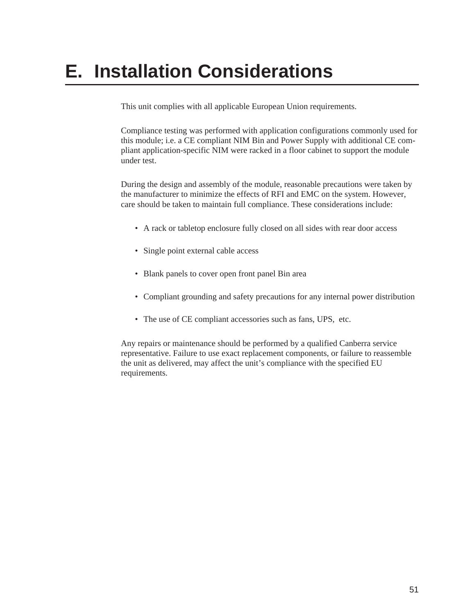# <span id="page-55-0"></span>**E. Installation Considerations**

This unit complies with all applicable European Union requirements.

Compliance testing was performed with application configurations commonly used for this module; i.e. a CE compliant NIM Bin and Power Supply with additional CE compliant application-specific NIM were racked in a floor cabinet to support the module under test.

During the design and assembly of the module, reasonable precautions were taken by the manufacturer to minimize the effects of RFI and EMC on the system. However, care should be taken to maintain full compliance. These considerations include:

- A rack or tabletop enclosure fully closed on all sides with rear door access
- Single point external cable access
- Blank panels to cover open front panel Bin area
- Compliant grounding and safety precautions for any internal power distribution
- The use of CE compliant accessories such as fans, UPS, etc.

Any repairs or maintenance should be performed by a qualified Canberra service representative. Failure to use exact replacement components, or failure to reassemble the unit as delivered, may affect the unit's compliance with the specified EU requirements.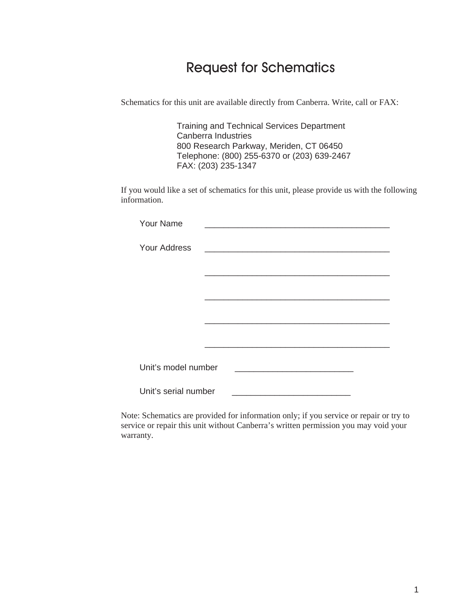# Request for Schematics

Schematics for this unit are available directly from Canberra. Write, call or FAX:

Training and Technical Services Department Canberra Industries 800 Research Parkway, Meriden, CT 06450 Telephone: (800) 255-6370 or (203) 639-2467 FAX: (203) 235-1347

If you would like a set of schematics for this unit, please provide us with the following information.

| <b>Your Name</b>     |                                                                                                                      |  |
|----------------------|----------------------------------------------------------------------------------------------------------------------|--|
| <b>Your Address</b>  | <u> 1980 - Jan Barbara, martin amerikan basar dan berasal dari berasal dalam basar dalam basar dalam basar dalam</u> |  |
|                      |                                                                                                                      |  |
|                      |                                                                                                                      |  |
|                      |                                                                                                                      |  |
|                      |                                                                                                                      |  |
|                      |                                                                                                                      |  |
| Unit's model number  |                                                                                                                      |  |
| Unit's serial number | <u> 1980 - Johann John Stone, markin f</u>                                                                           |  |

Note: Schematics are provided for information only; if you service or repair or try to service or repair this unit without Canberra's written permission you may void your warranty.